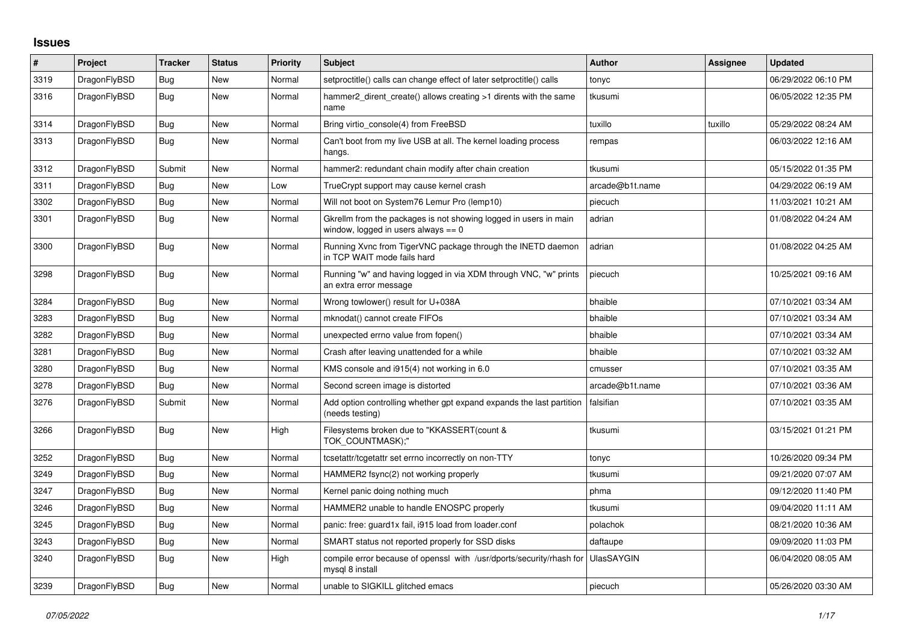## **Issues**

| #    | Project      | <b>Tracker</b> | <b>Status</b> | <b>Priority</b> | <b>Subject</b>                                                                                            | <b>Author</b>     | Assignee | <b>Updated</b>      |
|------|--------------|----------------|---------------|-----------------|-----------------------------------------------------------------------------------------------------------|-------------------|----------|---------------------|
| 3319 | DragonFlyBSD | Bug            | New           | Normal          | setproctitle() calls can change effect of later setproctitle() calls                                      | tonyc             |          | 06/29/2022 06:10 PM |
| 3316 | DragonFlyBSD | Bug            | New           | Normal          | hammer2 dirent create() allows creating >1 dirents with the same<br>name                                  | tkusumi           |          | 06/05/2022 12:35 PM |
| 3314 | DragonFlyBSD | Bug            | <b>New</b>    | Normal          | Bring virtio_console(4) from FreeBSD                                                                      | tuxillo           | tuxillo  | 05/29/2022 08:24 AM |
| 3313 | DragonFlyBSD | Bug            | New           | Normal          | Can't boot from my live USB at all. The kernel loading process<br>hangs.                                  | rempas            |          | 06/03/2022 12:16 AM |
| 3312 | DragonFlyBSD | Submit         | <b>New</b>    | Normal          | hammer2: redundant chain modify after chain creation                                                      | tkusumi           |          | 05/15/2022 01:35 PM |
| 3311 | DragonFlyBSD | Bug            | <b>New</b>    | Low             | TrueCrypt support may cause kernel crash                                                                  | arcade@b1t.name   |          | 04/29/2022 06:19 AM |
| 3302 | DragonFlyBSD | Bug            | New           | Normal          | Will not boot on System76 Lemur Pro (lemp10)                                                              | piecuch           |          | 11/03/2021 10:21 AM |
| 3301 | DragonFlyBSD | <b>Bug</b>     | New           | Normal          | Gkrellm from the packages is not showing logged in users in main<br>window, logged in users always $== 0$ | adrian            |          | 01/08/2022 04:24 AM |
| 3300 | DragonFlyBSD | <b>Bug</b>     | New           | Normal          | Running Xvnc from TigerVNC package through the INETD daemon<br>in TCP WAIT mode fails hard                | adrian            |          | 01/08/2022 04:25 AM |
| 3298 | DragonFlyBSD | Bug            | New           | Normal          | Running "w" and having logged in via XDM through VNC, "w" prints<br>an extra error message                | piecuch           |          | 10/25/2021 09:16 AM |
| 3284 | DragonFlyBSD | Bug            | New           | Normal          | Wrong towlower() result for U+038A                                                                        | bhaible           |          | 07/10/2021 03:34 AM |
| 3283 | DragonFlyBSD | Bug            | <b>New</b>    | Normal          | mknodat() cannot create FIFOs                                                                             | bhaible           |          | 07/10/2021 03:34 AM |
| 3282 | DragonFlyBSD | Bug            | New           | Normal          | unexpected errno value from fopen()                                                                       | bhaible           |          | 07/10/2021 03:34 AM |
| 3281 | DragonFlyBSD | Bug            | <b>New</b>    | Normal          | Crash after leaving unattended for a while                                                                | bhaible           |          | 07/10/2021 03:32 AM |
| 3280 | DragonFlyBSD | Bug            | New           | Normal          | KMS console and i915(4) not working in 6.0                                                                | cmusser           |          | 07/10/2021 03:35 AM |
| 3278 | DragonFlyBSD | Bug            | New           | Normal          | Second screen image is distorted                                                                          | arcade@b1t.name   |          | 07/10/2021 03:36 AM |
| 3276 | DragonFlyBSD | Submit         | New           | Normal          | Add option controlling whether gpt expand expands the last partition<br>(needs testing)                   | falsifian         |          | 07/10/2021 03:35 AM |
| 3266 | DragonFlyBSD | Bug            | <b>New</b>    | High            | Filesystems broken due to "KKASSERT(count &<br>TOK COUNTMASK);"                                           | tkusumi           |          | 03/15/2021 01:21 PM |
| 3252 | DragonFlyBSD | <b>Bug</b>     | New           | Normal          | tcsetattr/tcgetattr set errno incorrectly on non-TTY                                                      | tonyc             |          | 10/26/2020 09:34 PM |
| 3249 | DragonFlyBSD | Bug            | <b>New</b>    | Normal          | HAMMER2 fsync(2) not working properly                                                                     | tkusumi           |          | 09/21/2020 07:07 AM |
| 3247 | DragonFlyBSD | Bug            | <b>New</b>    | Normal          | Kernel panic doing nothing much                                                                           | phma              |          | 09/12/2020 11:40 PM |
| 3246 | DragonFlyBSD | Bug            | New           | Normal          | HAMMER2 unable to handle ENOSPC properly                                                                  | tkusumi           |          | 09/04/2020 11:11 AM |
| 3245 | DragonFlyBSD | <b>Bug</b>     | New           | Normal          | panic: free: guard1x fail, i915 load from loader.conf                                                     | polachok          |          | 08/21/2020 10:36 AM |
| 3243 | DragonFlyBSD | Bug            | <b>New</b>    | Normal          | SMART status not reported properly for SSD disks                                                          | daftaupe          |          | 09/09/2020 11:03 PM |
| 3240 | DragonFlyBSD | <b>Bug</b>     | New           | High            | compile error because of openssl with /usr/dports/security/rhash for<br>mysql 8 install                   | <b>UlasSAYGIN</b> |          | 06/04/2020 08:05 AM |
| 3239 | DragonFlyBSD | Bug            | <b>New</b>    | Normal          | unable to SIGKILL glitched emacs                                                                          | piecuch           |          | 05/26/2020 03:30 AM |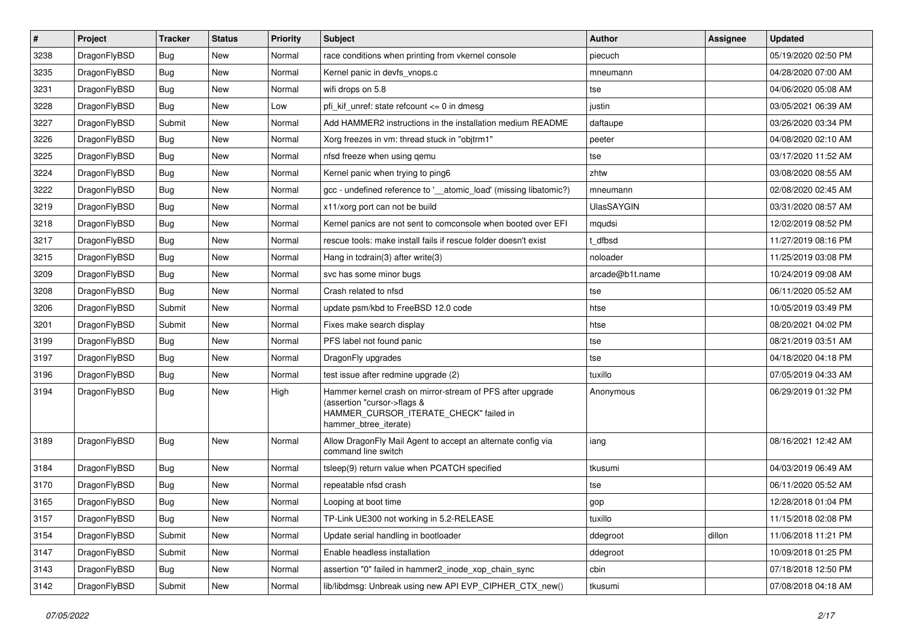| $\sharp$ | Project      | <b>Tracker</b> | <b>Status</b> | <b>Priority</b> | Subject                                                                                                                                                     | <b>Author</b>     | Assignee | <b>Updated</b>      |
|----------|--------------|----------------|---------------|-----------------|-------------------------------------------------------------------------------------------------------------------------------------------------------------|-------------------|----------|---------------------|
| 3238     | DragonFlyBSD | <b>Bug</b>     | <b>New</b>    | Normal          | race conditions when printing from vkernel console                                                                                                          | piecuch           |          | 05/19/2020 02:50 PM |
| 3235     | DragonFlyBSD | Bug            | New           | Normal          | Kernel panic in devfs vnops.c                                                                                                                               | mneumann          |          | 04/28/2020 07:00 AM |
| 3231     | DragonFlyBSD | <b>Bug</b>     | New           | Normal          | wifi drops on 5.8                                                                                                                                           | tse               |          | 04/06/2020 05:08 AM |
| 3228     | DragonFlyBSD | <b>Bug</b>     | New           | Low             | pfi_kif_unref: state refcount <= 0 in dmesg                                                                                                                 | justin            |          | 03/05/2021 06:39 AM |
| 3227     | DragonFlyBSD | Submit         | <b>New</b>    | Normal          | Add HAMMER2 instructions in the installation medium README                                                                                                  | daftaupe          |          | 03/26/2020 03:34 PM |
| 3226     | DragonFlyBSD | Bug            | <b>New</b>    | Normal          | Xorg freezes in vm: thread stuck in "objtrm1"                                                                                                               | peeter            |          | 04/08/2020 02:10 AM |
| 3225     | DragonFlyBSD | Bug            | New           | Normal          | nfsd freeze when using qemu                                                                                                                                 | tse               |          | 03/17/2020 11:52 AM |
| 3224     | DragonFlyBSD | <b>Bug</b>     | New           | Normal          | Kernel panic when trying to ping6                                                                                                                           | zhtw              |          | 03/08/2020 08:55 AM |
| 3222     | DragonFlyBSD | <b>Bug</b>     | New           | Normal          | gcc - undefined reference to '__atomic_load' (missing libatomic?)                                                                                           | mneumann          |          | 02/08/2020 02:45 AM |
| 3219     | DragonFlyBSD | Bug            | <b>New</b>    | Normal          | x11/xorg port can not be build                                                                                                                              | <b>UlasSAYGIN</b> |          | 03/31/2020 08:57 AM |
| 3218     | DragonFlyBSD | <b>Bug</b>     | New           | Normal          | Kernel panics are not sent to comconsole when booted over EFI                                                                                               | mqudsi            |          | 12/02/2019 08:52 PM |
| 3217     | DragonFlyBSD | Bug            | <b>New</b>    | Normal          | rescue tools: make install fails if rescue folder doesn't exist                                                                                             | t dfbsd           |          | 11/27/2019 08:16 PM |
| 3215     | DragonFlyBSD | <b>Bug</b>     | New           | Normal          | Hang in tcdrain(3) after write(3)                                                                                                                           | noloader          |          | 11/25/2019 03:08 PM |
| 3209     | DragonFlyBSD | <b>Bug</b>     | New           | Normal          | svc has some minor bugs                                                                                                                                     | arcade@b1t.name   |          | 10/24/2019 09:08 AM |
| 3208     | DragonFlyBSD | Bug            | New           | Normal          | Crash related to nfsd                                                                                                                                       | tse               |          | 06/11/2020 05:52 AM |
| 3206     | DragonFlyBSD | Submit         | New           | Normal          | update psm/kbd to FreeBSD 12.0 code                                                                                                                         | htse              |          | 10/05/2019 03:49 PM |
| 3201     | DragonFlyBSD | Submit         | New           | Normal          | Fixes make search display                                                                                                                                   | htse              |          | 08/20/2021 04:02 PM |
| 3199     | DragonFlyBSD | <b>Bug</b>     | New           | Normal          | PFS label not found panic                                                                                                                                   | tse               |          | 08/21/2019 03:51 AM |
| 3197     | DragonFlyBSD | Bug            | <b>New</b>    | Normal          | DragonFly upgrades                                                                                                                                          | tse               |          | 04/18/2020 04:18 PM |
| 3196     | DragonFlyBSD | Bug            | New           | Normal          | test issue after redmine upgrade (2)                                                                                                                        | tuxillo           |          | 07/05/2019 04:33 AM |
| 3194     | DragonFlyBSD | <b>Bug</b>     | New           | High            | Hammer kernel crash on mirror-stream of PFS after upgrade<br>(assertion "cursor->flags &<br>HAMMER_CURSOR_ITERATE_CHECK" failed in<br>hammer_btree_iterate) | Anonymous         |          | 06/29/2019 01:32 PM |
| 3189     | DragonFlyBSD | <b>Bug</b>     | New           | Normal          | Allow DragonFly Mail Agent to accept an alternate config via<br>command line switch                                                                         | iang              |          | 08/16/2021 12:42 AM |
| 3184     | DragonFlyBSD | <b>Bug</b>     | New           | Normal          | tsleep(9) return value when PCATCH specified                                                                                                                | tkusumi           |          | 04/03/2019 06:49 AM |
| 3170     | DragonFlyBSD | <b>Bug</b>     | <b>New</b>    | Normal          | repeatable nfsd crash                                                                                                                                       | tse               |          | 06/11/2020 05:52 AM |
| 3165     | DragonFlyBSD | Bug            | New           | Normal          | Looping at boot time                                                                                                                                        | gop               |          | 12/28/2018 01:04 PM |
| 3157     | DragonFlyBSD | <b>Bug</b>     | New           | Normal          | TP-Link UE300 not working in 5.2-RELEASE                                                                                                                    | tuxillo           |          | 11/15/2018 02:08 PM |
| 3154     | DragonFlyBSD | Submit         | New           | Normal          | Update serial handling in bootloader                                                                                                                        | ddegroot          | dillon   | 11/06/2018 11:21 PM |
| 3147     | DragonFlyBSD | Submit         | New           | Normal          | Enable headless installation                                                                                                                                | ddegroot          |          | 10/09/2018 01:25 PM |
| 3143     | DragonFlyBSD | <b>Bug</b>     | New           | Normal          | assertion "0" failed in hammer2_inode_xop_chain_sync                                                                                                        | cbin              |          | 07/18/2018 12:50 PM |
| 3142     | DragonFlyBSD | Submit         | New           | Normal          | lib/libdmsg: Unbreak using new API EVP_CIPHER_CTX_new()                                                                                                     | tkusumi           |          | 07/08/2018 04:18 AM |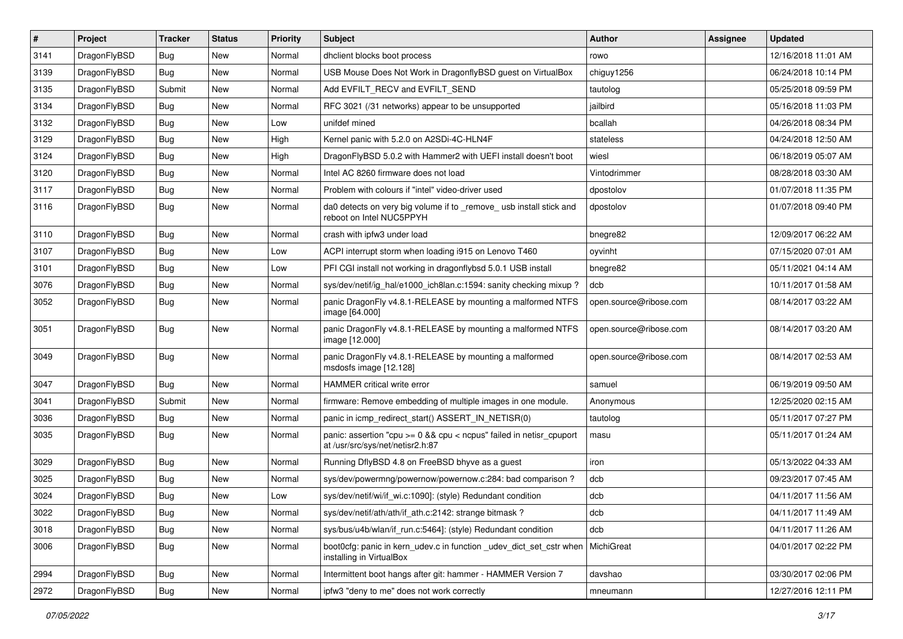| $\pmb{\#}$ | Project      | <b>Tracker</b> | <b>Status</b> | <b>Priority</b> | Subject                                                                                                 | <b>Author</b>          | <b>Assignee</b> | <b>Updated</b>      |
|------------|--------------|----------------|---------------|-----------------|---------------------------------------------------------------------------------------------------------|------------------------|-----------------|---------------------|
| 3141       | DragonFlyBSD | Bug            | New           | Normal          | dhclient blocks boot process                                                                            | rowo                   |                 | 12/16/2018 11:01 AM |
| 3139       | DragonFlyBSD | Bug            | New           | Normal          | USB Mouse Does Not Work in DragonflyBSD guest on VirtualBox                                             | chiguy1256             |                 | 06/24/2018 10:14 PM |
| 3135       | DragonFlyBSD | Submit         | New           | Normal          | Add EVFILT_RECV and EVFILT_SEND                                                                         | tautolog               |                 | 05/25/2018 09:59 PM |
| 3134       | DragonFlyBSD | Bug            | New           | Normal          | RFC 3021 (/31 networks) appear to be unsupported                                                        | jailbird               |                 | 05/16/2018 11:03 PM |
| 3132       | DragonFlyBSD | <b>Bug</b>     | <b>New</b>    | Low             | unifdef mined                                                                                           | bcallah                |                 | 04/26/2018 08:34 PM |
| 3129       | DragonFlyBSD | <b>Bug</b>     | <b>New</b>    | High            | Kernel panic with 5.2.0 on A2SDi-4C-HLN4F                                                               | stateless              |                 | 04/24/2018 12:50 AM |
| 3124       | DragonFlyBSD | <b>Bug</b>     | New           | High            | DragonFlyBSD 5.0.2 with Hammer2 with UEFI install doesn't boot                                          | wiesl                  |                 | 06/18/2019 05:07 AM |
| 3120       | DragonFlyBSD | Bug            | New           | Normal          | Intel AC 8260 firmware does not load                                                                    | Vintodrimmer           |                 | 08/28/2018 03:30 AM |
| 3117       | DragonFlyBSD | Bug            | New           | Normal          | Problem with colours if "intel" video-driver used                                                       | dpostolov              |                 | 01/07/2018 11:35 PM |
| 3116       | DragonFlyBSD | Bug            | <b>New</b>    | Normal          | da0 detects on very big volume if to _remove_ usb install stick and<br>reboot on Intel NUC5PPYH         | dpostolov              |                 | 01/07/2018 09:40 PM |
| 3110       | DragonFlyBSD | Bug            | New           | Normal          | crash with ipfw3 under load                                                                             | bnegre82               |                 | 12/09/2017 06:22 AM |
| 3107       | DragonFlyBSD | Bug            | <b>New</b>    | Low             | ACPI interrupt storm when loading i915 on Lenovo T460                                                   | oyvinht                |                 | 07/15/2020 07:01 AM |
| 3101       | DragonFlyBSD | Bug            | <b>New</b>    | Low             | PFI CGI install not working in dragonflybsd 5.0.1 USB install                                           | bnegre82               |                 | 05/11/2021 04:14 AM |
| 3076       | DragonFlyBSD | Bug            | New           | Normal          | sys/dev/netif/ig_hal/e1000_ich8lan.c:1594: sanity checking mixup?                                       | dcb                    |                 | 10/11/2017 01:58 AM |
| 3052       | DragonFlyBSD | Bug            | <b>New</b>    | Normal          | panic DragonFly v4.8.1-RELEASE by mounting a malformed NTFS<br>image [64.000]                           | open.source@ribose.com |                 | 08/14/2017 03:22 AM |
| 3051       | DragonFlyBSD | Bug            | <b>New</b>    | Normal          | panic DragonFly v4.8.1-RELEASE by mounting a malformed NTFS<br>image [12.000]                           | open.source@ribose.com |                 | 08/14/2017 03:20 AM |
| 3049       | DragonFlyBSD | Bug            | New           | Normal          | panic DragonFly v4.8.1-RELEASE by mounting a malformed<br>msdosfs image [12.128]                        | open.source@ribose.com |                 | 08/14/2017 02:53 AM |
| 3047       | DragonFlyBSD | Bug            | <b>New</b>    | Normal          | HAMMER critical write error                                                                             | samuel                 |                 | 06/19/2019 09:50 AM |
| 3041       | DragonFlyBSD | Submit         | New           | Normal          | firmware: Remove embedding of multiple images in one module.                                            | Anonymous              |                 | 12/25/2020 02:15 AM |
| 3036       | DragonFlyBSD | Bug            | New           | Normal          | panic in icmp redirect start() ASSERT IN NETISR(0)                                                      | tautolog               |                 | 05/11/2017 07:27 PM |
| 3035       | DragonFlyBSD | Bug            | New           | Normal          | panic: assertion "cpu >= 0 && cpu < ncpus" failed in netisr_cpuport<br>at /usr/src/sys/net/netisr2.h:87 | masu                   |                 | 05/11/2017 01:24 AM |
| 3029       | DragonFlyBSD | Bug            | New           | Normal          | Running DflyBSD 4.8 on FreeBSD bhyve as a guest                                                         | iron                   |                 | 05/13/2022 04:33 AM |
| 3025       | DragonFlyBSD | Bug            | New           | Normal          | sys/dev/powermng/powernow/powernow.c:284: bad comparison?                                               | dcb                    |                 | 09/23/2017 07:45 AM |
| 3024       | DragonFlyBSD | Bug            | New           | Low             | sys/dev/netif/wi/if_wi.c:1090]: (style) Redundant condition                                             | dcb                    |                 | 04/11/2017 11:56 AM |
| 3022       | DragonFlyBSD | <b>Bug</b>     | New           | Normal          | sys/dev/netif/ath/ath/if_ath.c:2142: strange bitmask?                                                   | dcb                    |                 | 04/11/2017 11:49 AM |
| 3018       | DragonFlyBSD | <b>Bug</b>     | New           | Normal          | sys/bus/u4b/wlan/if_run.c:5464]: (style) Redundant condition                                            | dcb                    |                 | 04/11/2017 11:26 AM |
| 3006       | DragonFlyBSD | <b>Bug</b>     | New           | Normal          | boot0cfg: panic in kern udev.c in function udev dict set cstr when<br>installing in VirtualBox          | MichiGreat             |                 | 04/01/2017 02:22 PM |
| 2994       | DragonFlyBSD | <b>Bug</b>     | New           | Normal          | Intermittent boot hangs after git: hammer - HAMMER Version 7                                            | davshao                |                 | 03/30/2017 02:06 PM |
| 2972       | DragonFlyBSD | Bug            | New           | Normal          | ipfw3 "deny to me" does not work correctly                                                              | mneumann               |                 | 12/27/2016 12:11 PM |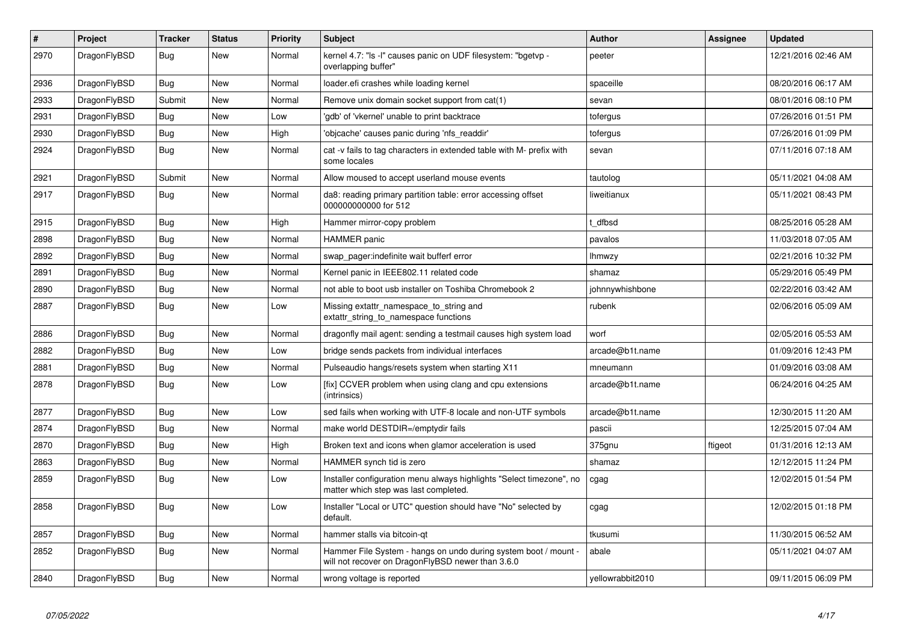| #    | Project      | <b>Tracker</b> | <b>Status</b> | <b>Priority</b> | <b>Subject</b>                                                                                                       | <b>Author</b>    | Assignee | <b>Updated</b>      |
|------|--------------|----------------|---------------|-----------------|----------------------------------------------------------------------------------------------------------------------|------------------|----------|---------------------|
| 2970 | DragonFlyBSD | <b>Bug</b>     | <b>New</b>    | Normal          | kernel 4.7: "Is -l" causes panic on UDF filesystem: "bgetvp -<br>overlapping buffer"                                 | peeter           |          | 12/21/2016 02:46 AM |
| 2936 | DragonFlyBSD | Bug            | New           | Normal          | loader.efi crashes while loading kernel                                                                              | spaceille        |          | 08/20/2016 06:17 AM |
| 2933 | DragonFlyBSD | Submit         | <b>New</b>    | Normal          | Remove unix domain socket support from cat(1)                                                                        | sevan            |          | 08/01/2016 08:10 PM |
| 2931 | DragonFlyBSD | <b>Bug</b>     | <b>New</b>    | Low             | 'gdb' of 'vkernel' unable to print backtrace                                                                         | tofergus         |          | 07/26/2016 01:51 PM |
| 2930 | DragonFlyBSD | <b>Bug</b>     | <b>New</b>    | High            | 'objcache' causes panic during 'nfs_readdir'                                                                         | tofergus         |          | 07/26/2016 01:09 PM |
| 2924 | DragonFlyBSD | <b>Bug</b>     | New           | Normal          | cat -v fails to tag characters in extended table with M- prefix with<br>some locales                                 | sevan            |          | 07/11/2016 07:18 AM |
| 2921 | DragonFlyBSD | Submit         | <b>New</b>    | Normal          | Allow moused to accept userland mouse events                                                                         | tautolog         |          | 05/11/2021 04:08 AM |
| 2917 | DragonFlyBSD | <b>Bug</b>     | New           | Normal          | da8: reading primary partition table: error accessing offset<br>000000000000 for 512                                 | liweitianux      |          | 05/11/2021 08:43 PM |
| 2915 | DragonFlyBSD | Bug            | <b>New</b>    | High            | Hammer mirror-copy problem                                                                                           | dfbsd            |          | 08/25/2016 05:28 AM |
| 2898 | DragonFlyBSD | Bug            | <b>New</b>    | Normal          | <b>HAMMER</b> panic                                                                                                  | pavalos          |          | 11/03/2018 07:05 AM |
| 2892 | DragonFlyBSD | <b>Bug</b>     | New           | Normal          | swap_pager:indefinite wait bufferf error                                                                             | <b>Ihmwzy</b>    |          | 02/21/2016 10:32 PM |
| 2891 | DragonFlyBSD | <b>Bug</b>     | <b>New</b>    | Normal          | Kernel panic in IEEE802.11 related code                                                                              | shamaz           |          | 05/29/2016 05:49 PM |
| 2890 | DragonFlyBSD | <b>Bug</b>     | <b>New</b>    | Normal          | not able to boot usb installer on Toshiba Chromebook 2                                                               | johnnywhishbone  |          | 02/22/2016 03:42 AM |
| 2887 | DragonFlyBSD | Bug            | New           | Low             | Missing extattr_namespace_to_string and<br>extattr_string_to_namespace functions                                     | rubenk           |          | 02/06/2016 05:09 AM |
| 2886 | DragonFlyBSD | <b>Bug</b>     | New           | Normal          | dragonfly mail agent: sending a testmail causes high system load                                                     | worf             |          | 02/05/2016 05:53 AM |
| 2882 | DragonFlyBSD | <b>Bug</b>     | <b>New</b>    | Low             | bridge sends packets from individual interfaces                                                                      | arcade@b1t.name  |          | 01/09/2016 12:43 PM |
| 2881 | DragonFlyBSD | <b>Bug</b>     | <b>New</b>    | Normal          | Pulseaudio hangs/resets system when starting X11                                                                     | mneumann         |          | 01/09/2016 03:08 AM |
| 2878 | DragonFlyBSD | Bug            | <b>New</b>    | Low             | [fix] CCVER problem when using clang and cpu extensions<br>(intrinsics)                                              | arcade@b1t.name  |          | 06/24/2016 04:25 AM |
| 2877 | DragonFlyBSD | Bug            | <b>New</b>    | Low             | sed fails when working with UTF-8 locale and non-UTF symbols                                                         | arcade@b1t.name  |          | 12/30/2015 11:20 AM |
| 2874 | DragonFlyBSD | Bug            | <b>New</b>    | Normal          | make world DESTDIR=/emptydir fails                                                                                   | pascii           |          | 12/25/2015 07:04 AM |
| 2870 | DragonFlyBSD | <b>Bug</b>     | <b>New</b>    | High            | Broken text and icons when glamor acceleration is used                                                               | 375gnu           | ftigeot  | 01/31/2016 12:13 AM |
| 2863 | DragonFlyBSD | <b>Bug</b>     | <b>New</b>    | Normal          | HAMMER synch tid is zero                                                                                             | shamaz           |          | 12/12/2015 11:24 PM |
| 2859 | DragonFlyBSD | <b>Bug</b>     | <b>New</b>    | Low             | Installer configuration menu always highlights "Select timezone", no<br>matter which step was last completed.        | cgag             |          | 12/02/2015 01:54 PM |
| 2858 | DragonFlyBSD | <b>Bug</b>     | <b>New</b>    | Low             | Installer "Local or UTC" question should have "No" selected by<br>default.                                           | cgag             |          | 12/02/2015 01:18 PM |
| 2857 | DragonFlyBSD | <b>Bug</b>     | <b>New</b>    | Normal          | hammer stalls via bitcoin-qt                                                                                         | tkusumi          |          | 11/30/2015 06:52 AM |
| 2852 | DragonFlyBSD | <b>Bug</b>     | <b>New</b>    | Normal          | Hammer File System - hangs on undo during system boot / mount -<br>will not recover on DragonFlyBSD newer than 3.6.0 | abale            |          | 05/11/2021 04:07 AM |
| 2840 | DragonFlyBSD | Bug            | New           | Normal          | wrong voltage is reported                                                                                            | yellowrabbit2010 |          | 09/11/2015 06:09 PM |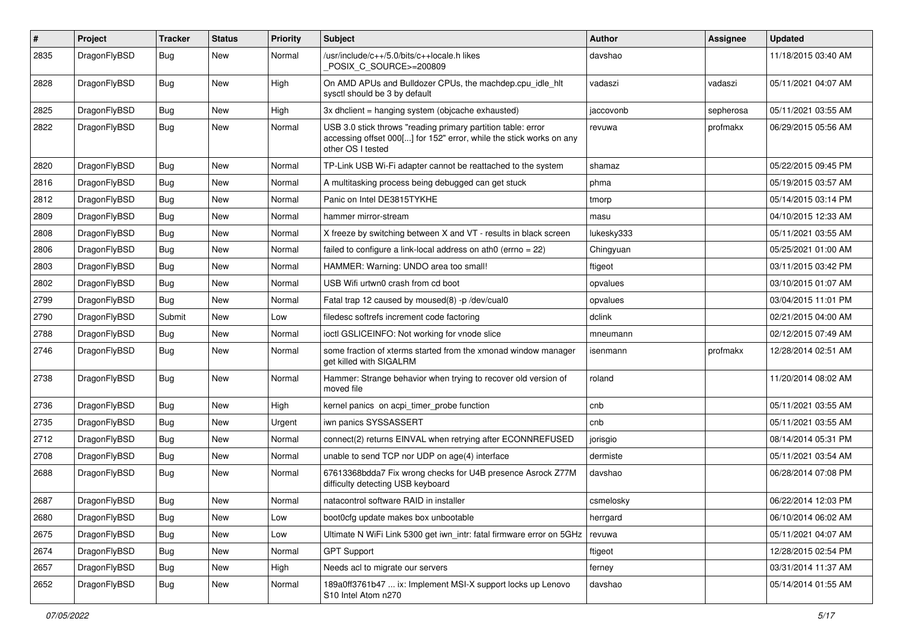| $\sharp$ | Project      | <b>Tracker</b> | <b>Status</b> | <b>Priority</b> | <b>Subject</b>                                                                                                                                           | <b>Author</b> | <b>Assignee</b> | <b>Updated</b>      |
|----------|--------------|----------------|---------------|-----------------|----------------------------------------------------------------------------------------------------------------------------------------------------------|---------------|-----------------|---------------------|
| 2835     | DragonFlyBSD | <b>Bug</b>     | New           | Normal          | /usr/include/c++/5.0/bits/c++locale.h likes<br>POSIX_C_SOURCE>=200809                                                                                    | davshao       |                 | 11/18/2015 03:40 AM |
| 2828     | DragonFlyBSD | <b>Bug</b>     | <b>New</b>    | High            | On AMD APUs and Bulldozer CPUs, the machdep.cpu_idle_hlt<br>sysctl should be 3 by default                                                                | vadaszi       | vadaszi         | 05/11/2021 04:07 AM |
| 2825     | DragonFlyBSD | <b>Bug</b>     | <b>New</b>    | High            | 3x dhclient = hanging system (objcache exhausted)                                                                                                        | iaccovonb     | sepherosa       | 05/11/2021 03:55 AM |
| 2822     | DragonFlyBSD | <b>Bug</b>     | <b>New</b>    | Normal          | USB 3.0 stick throws "reading primary partition table: error<br>accessing offset 000[] for 152" error, while the stick works on any<br>other OS I tested | revuwa        | profmakx        | 06/29/2015 05:56 AM |
| 2820     | DragonFlyBSD | <b>Bug</b>     | <b>New</b>    | Normal          | TP-Link USB Wi-Fi adapter cannot be reattached to the system                                                                                             | shamaz        |                 | 05/22/2015 09:45 PM |
| 2816     | DragonFlyBSD | Bug            | <b>New</b>    | Normal          | A multitasking process being debugged can get stuck                                                                                                      | phma          |                 | 05/19/2015 03:57 AM |
| 2812     | DragonFlyBSD | <b>Bug</b>     | New           | Normal          | Panic on Intel DE3815TYKHE                                                                                                                               | tmorp         |                 | 05/14/2015 03:14 PM |
| 2809     | DragonFlyBSD | <b>Bug</b>     | New           | Normal          | hammer mirror-stream                                                                                                                                     | masu          |                 | 04/10/2015 12:33 AM |
| 2808     | DragonFlyBSD | <b>Bug</b>     | <b>New</b>    | Normal          | X freeze by switching between X and VT - results in black screen                                                                                         | lukesky333    |                 | 05/11/2021 03:55 AM |
| 2806     | DragonFlyBSD | Bug            | <b>New</b>    | Normal          | failed to configure a link-local address on ath $0$ (errno = 22)                                                                                         | Chingyuan     |                 | 05/25/2021 01:00 AM |
| 2803     | DragonFlyBSD | Bug            | <b>New</b>    | Normal          | HAMMER: Warning: UNDO area too small!                                                                                                                    | ftigeot       |                 | 03/11/2015 03:42 PM |
| 2802     | DragonFlyBSD | Bug            | New           | Normal          | USB Wifi urtwn0 crash from cd boot                                                                                                                       | opvalues      |                 | 03/10/2015 01:07 AM |
| 2799     | DragonFlyBSD | <b>Bug</b>     | New           | Normal          | Fatal trap 12 caused by moused(8) -p /dev/cual0                                                                                                          | opvalues      |                 | 03/04/2015 11:01 PM |
| 2790     | DragonFlyBSD | Submit         | <b>New</b>    | Low             | filedesc softrefs increment code factoring                                                                                                               | dclink        |                 | 02/21/2015 04:00 AM |
| 2788     | DragonFlyBSD | <b>Bug</b>     | New           | Normal          | ioctl GSLICEINFO: Not working for vnode slice                                                                                                            | mneumann      |                 | 02/12/2015 07:49 AM |
| 2746     | DragonFlyBSD | Bug            | New           | Normal          | some fraction of xterms started from the xmonad window manager<br>get killed with SIGALRM                                                                | isenmann      | profmakx        | 12/28/2014 02:51 AM |
| 2738     | DragonFlyBSD | Bug            | New           | Normal          | Hammer: Strange behavior when trying to recover old version of<br>moved file                                                                             | roland        |                 | 11/20/2014 08:02 AM |
| 2736     | DragonFlyBSD | <b>Bug</b>     | New           | High            | kernel panics on acpi_timer_probe function                                                                                                               | cnb           |                 | 05/11/2021 03:55 AM |
| 2735     | DragonFlyBSD | <b>Bug</b>     | <b>New</b>    | Urgent          | iwn panics SYSSASSERT                                                                                                                                    | cnb           |                 | 05/11/2021 03:55 AM |
| 2712     | DragonFlyBSD | Bug            | <b>New</b>    | Normal          | connect(2) returns EINVAL when retrying after ECONNREFUSED                                                                                               | jorisgio      |                 | 08/14/2014 05:31 PM |
| 2708     | DragonFlyBSD | Bug            | New           | Normal          | unable to send TCP nor UDP on age(4) interface                                                                                                           | dermiste      |                 | 05/11/2021 03:54 AM |
| 2688     | DragonFlyBSD | Bug            | New           | Normal          | 67613368bdda7 Fix wrong checks for U4B presence Asrock Z77M<br>difficulty detecting USB keyboard                                                         | davshao       |                 | 06/28/2014 07:08 PM |
| 2687     | DragonFlyBSD | Bug            | New           | Normal          | natacontrol software RAID in installer                                                                                                                   | csmelosky     |                 | 06/22/2014 12:03 PM |
| 2680     | DragonFlyBSD | <b>Bug</b>     | <b>New</b>    | Low             | boot0cfg update makes box unbootable                                                                                                                     | herrgard      |                 | 06/10/2014 06:02 AM |
| 2675     | DragonFlyBSD | <b>Bug</b>     | New           | Low             | Ultimate N WiFi Link 5300 get iwn_intr: fatal firmware error on 5GHz                                                                                     | revuwa        |                 | 05/11/2021 04:07 AM |
| 2674     | DragonFlyBSD | <b>Bug</b>     | New           | Normal          | <b>GPT Support</b>                                                                                                                                       | ftigeot       |                 | 12/28/2015 02:54 PM |
| 2657     | DragonFlyBSD | <b>Bug</b>     | <b>New</b>    | High            | Needs acl to migrate our servers                                                                                                                         | ferney        |                 | 03/31/2014 11:37 AM |
| 2652     | DragonFlyBSD | <b>Bug</b>     | New           | Normal          | 189a0ff3761b47  ix: Implement MSI-X support locks up Lenovo<br>S10 Intel Atom n270                                                                       | davshao       |                 | 05/14/2014 01:55 AM |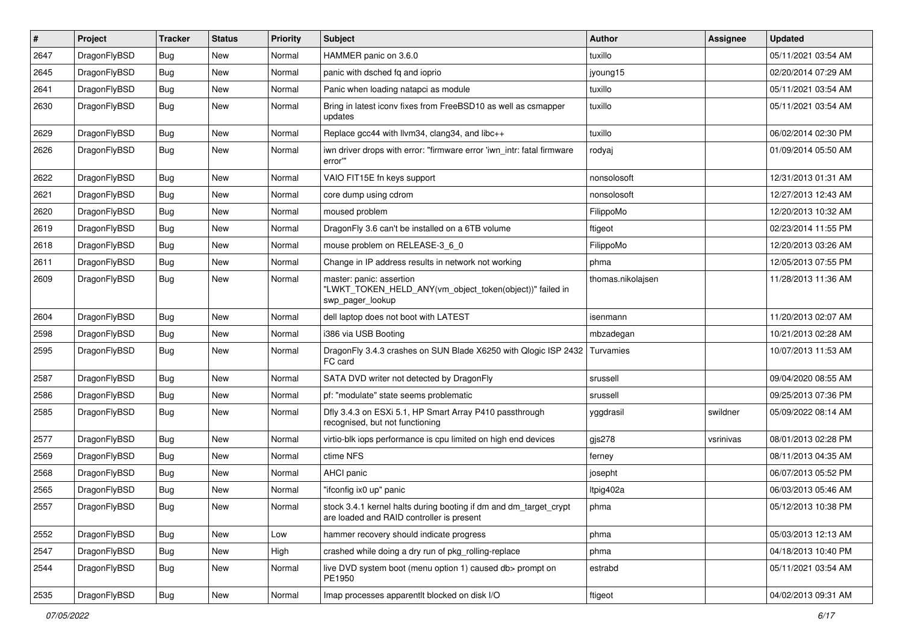| $\pmb{\#}$ | Project      | <b>Tracker</b> | <b>Status</b> | <b>Priority</b> | <b>Subject</b>                                                                                                 | <b>Author</b>     | <b>Assignee</b> | <b>Updated</b>      |
|------------|--------------|----------------|---------------|-----------------|----------------------------------------------------------------------------------------------------------------|-------------------|-----------------|---------------------|
| 2647       | DragonFlyBSD | Bug            | <b>New</b>    | Normal          | HAMMER panic on 3.6.0                                                                                          | tuxillo           |                 | 05/11/2021 03:54 AM |
| 2645       | DragonFlyBSD | Bug            | <b>New</b>    | Normal          | panic with dsched fq and ioprio                                                                                | jyoung15          |                 | 02/20/2014 07:29 AM |
| 2641       | DragonFlyBSD | <b>Bug</b>     | <b>New</b>    | Normal          | Panic when loading natapci as module                                                                           | tuxillo           |                 | 05/11/2021 03:54 AM |
| 2630       | DragonFlyBSD | Bug            | <b>New</b>    | Normal          | Bring in latest iconv fixes from FreeBSD10 as well as csmapper<br>updates                                      | tuxillo           |                 | 05/11/2021 03:54 AM |
| 2629       | DragonFlyBSD | <b>Bug</b>     | <b>New</b>    | Normal          | Replace gcc44 with llvm34, clang34, and libc++                                                                 | tuxillo           |                 | 06/02/2014 02:30 PM |
| 2626       | DragonFlyBSD | Bug            | New           | Normal          | iwn driver drops with error: "firmware error 'iwn_intr: fatal firmware<br>error"                               | rodyaj            |                 | 01/09/2014 05:50 AM |
| 2622       | DragonFlyBSD | <b>Bug</b>     | <b>New</b>    | Normal          | VAIO FIT15E fn keys support                                                                                    | nonsolosoft       |                 | 12/31/2013 01:31 AM |
| 2621       | DragonFlyBSD | <b>Bug</b>     | <b>New</b>    | Normal          | core dump using cdrom                                                                                          | nonsolosoft       |                 | 12/27/2013 12:43 AM |
| 2620       | DragonFlyBSD | <b>Bug</b>     | <b>New</b>    | Normal          | moused problem                                                                                                 | FilippoMo         |                 | 12/20/2013 10:32 AM |
| 2619       | DragonFlyBSD | Bug            | <b>New</b>    | Normal          | DragonFly 3.6 can't be installed on a 6TB volume                                                               | ftigeot           |                 | 02/23/2014 11:55 PM |
| 2618       | DragonFlyBSD | <b>Bug</b>     | <b>New</b>    | Normal          | mouse problem on RELEASE-3_6_0                                                                                 | FilippoMo         |                 | 12/20/2013 03:26 AM |
| 2611       | DragonFlyBSD | Bug            | <b>New</b>    | Normal          | Change in IP address results in network not working                                                            | phma              |                 | 12/05/2013 07:55 PM |
| 2609       | DragonFlyBSD | Bug            | New           | Normal          | master: panic: assertion<br>"LWKT_TOKEN_HELD_ANY(vm_object_token(object))" failed in<br>swp_pager_lookup       | thomas.nikolaisen |                 | 11/28/2013 11:36 AM |
| 2604       | DragonFlyBSD | <b>Bug</b>     | <b>New</b>    | Normal          | dell laptop does not boot with LATEST                                                                          | isenmann          |                 | 11/20/2013 02:07 AM |
| 2598       | DragonFlyBSD | <b>Bug</b>     | <b>New</b>    | Normal          | i386 via USB Booting                                                                                           | mbzadegan         |                 | 10/21/2013 02:28 AM |
| 2595       | DragonFlyBSD | Bug            | <b>New</b>    | Normal          | DragonFly 3.4.3 crashes on SUN Blade X6250 with Qlogic ISP 2432<br>FC card                                     | Turvamies         |                 | 10/07/2013 11:53 AM |
| 2587       | DragonFlyBSD | <b>Bug</b>     | <b>New</b>    | Normal          | SATA DVD writer not detected by DragonFly                                                                      | srussell          |                 | 09/04/2020 08:55 AM |
| 2586       | DragonFlyBSD | Bug            | <b>New</b>    | Normal          | pf: "modulate" state seems problematic                                                                         | srussell          |                 | 09/25/2013 07:36 PM |
| 2585       | DragonFlyBSD | <b>Bug</b>     | New           | Normal          | Dfly 3.4.3 on ESXi 5.1, HP Smart Array P410 passthrough<br>recognised, but not functioning                     | yggdrasil         | swildner        | 05/09/2022 08:14 AM |
| 2577       | DragonFlyBSD | <b>Bug</b>     | <b>New</b>    | Normal          | virtio-blk iops performance is cpu limited on high end devices                                                 | gjs278            | vsrinivas       | 08/01/2013 02:28 PM |
| 2569       | DragonFlyBSD | Bug            | <b>New</b>    | Normal          | ctime NFS                                                                                                      | ferney            |                 | 08/11/2013 04:35 AM |
| 2568       | DragonFlyBSD | Bug            | <b>New</b>    | Normal          | AHCI panic                                                                                                     | josepht           |                 | 06/07/2013 05:52 PM |
| 2565       | DragonFlyBSD | <b>Bug</b>     | <b>New</b>    | Normal          | "ifconfig ix0 up" panic                                                                                        | Itpig402a         |                 | 06/03/2013 05:46 AM |
| 2557       | DragonFlyBSD | <b>Bug</b>     | New           | Normal          | stock 3.4.1 kernel halts during booting if dm and dm_target_crypt<br>are loaded and RAID controller is present | phma              |                 | 05/12/2013 10:38 PM |
| 2552       | DragonFlyBSD | <b>Bug</b>     | New           | Low             | hammer recovery should indicate progress                                                                       | phma              |                 | 05/03/2013 12:13 AM |
| 2547       | DragonFlyBSD | <b>Bug</b>     | <b>New</b>    | High            | crashed while doing a dry run of pkg_rolling-replace                                                           | phma              |                 | 04/18/2013 10:40 PM |
| 2544       | DragonFlyBSD | Bug            | New           | Normal          | live DVD system boot (menu option 1) caused db> prompt on<br>PE1950                                            | estrabd           |                 | 05/11/2021 03:54 AM |
| 2535       | DragonFlyBSD | <b>Bug</b>     | New           | Normal          | Imap processes apparentlt blocked on disk I/O                                                                  | ftigeot           |                 | 04/02/2013 09:31 AM |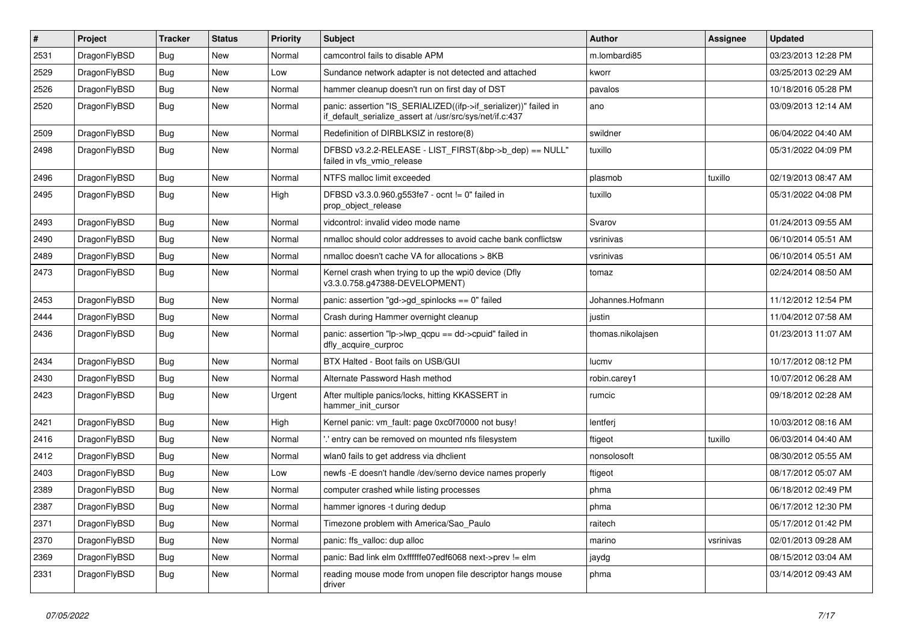| #    | <b>Project</b> | <b>Tracker</b> | <b>Status</b> | <b>Priority</b> | Subject                                                                                                                      | <b>Author</b>     | Assignee  | <b>Updated</b>      |
|------|----------------|----------------|---------------|-----------------|------------------------------------------------------------------------------------------------------------------------------|-------------------|-----------|---------------------|
| 2531 | DragonFlyBSD   | Bug            | <b>New</b>    | Normal          | camcontrol fails to disable APM                                                                                              | m.lombardi85      |           | 03/23/2013 12:28 PM |
| 2529 | DragonFlyBSD   | <b>Bug</b>     | New           | Low             | Sundance network adapter is not detected and attached                                                                        | kworr             |           | 03/25/2013 02:29 AM |
| 2526 | DragonFlyBSD   | <b>Bug</b>     | New           | Normal          | hammer cleanup doesn't run on first day of DST                                                                               | pavalos           |           | 10/18/2016 05:28 PM |
| 2520 | DragonFlyBSD   | Bug            | New           | Normal          | panic: assertion "IS_SERIALIZED((ifp->if_serializer))" failed in<br>if_default_serialize_assert at /usr/src/sys/net/if.c:437 | ano               |           | 03/09/2013 12:14 AM |
| 2509 | DragonFlyBSD   | Bug            | New           | Normal          | Redefinition of DIRBLKSIZ in restore(8)                                                                                      | swildner          |           | 06/04/2022 04:40 AM |
| 2498 | DragonFlyBSD   | Bug            | New           | Normal          | DFBSD v3.2.2-RELEASE - LIST_FIRST(&bp->b_dep) == NULL"<br>failed in vfs vmio release                                         | tuxillo           |           | 05/31/2022 04:09 PM |
| 2496 | DragonFlyBSD   | <b>Bug</b>     | New           | Normal          | NTFS malloc limit exceeded                                                                                                   | plasmob           | tuxillo   | 02/19/2013 08:47 AM |
| 2495 | DragonFlyBSD   | <b>Bug</b>     | New           | High            | DFBSD v3.3.0.960.g553fe7 - ocnt != 0" failed in<br>prop_object_release                                                       | tuxillo           |           | 05/31/2022 04:08 PM |
| 2493 | DragonFlyBSD   | <b>Bug</b>     | New           | Normal          | vidcontrol: invalid video mode name                                                                                          | Svarov            |           | 01/24/2013 09:55 AM |
| 2490 | DragonFlyBSD   | <b>Bug</b>     | New           | Normal          | nmalloc should color addresses to avoid cache bank conflictsw                                                                | vsrinivas         |           | 06/10/2014 05:51 AM |
| 2489 | DragonFlyBSD   | <b>Bug</b>     | New           | Normal          | nmalloc doesn't cache VA for allocations > 8KB                                                                               | vsrinivas         |           | 06/10/2014 05:51 AM |
| 2473 | DragonFlyBSD   | Bug            | New           | Normal          | Kernel crash when trying to up the wpi0 device (Dfly<br>v3.3.0.758.g47388-DEVELOPMENT)                                       | tomaz             |           | 02/24/2014 08:50 AM |
| 2453 | DragonFlyBSD   | Bug            | New           | Normal          | panic: assertion "gd->gd_spinlocks == 0" failed                                                                              | Johannes.Hofmann  |           | 11/12/2012 12:54 PM |
| 2444 | DragonFlyBSD   | <b>Bug</b>     | New           | Normal          | Crash during Hammer overnight cleanup                                                                                        | justin            |           | 11/04/2012 07:58 AM |
| 2436 | DragonFlyBSD   | Bug            | New           | Normal          | panic: assertion "lp->lwp_qcpu == dd->cpuid" failed in<br>dfly_acquire_curproc                                               | thomas.nikolajsen |           | 01/23/2013 11:07 AM |
| 2434 | DragonFlyBSD   | Bug            | <b>New</b>    | Normal          | BTX Halted - Boot fails on USB/GUI                                                                                           | lucmv             |           | 10/17/2012 08:12 PM |
| 2430 | DragonFlyBSD   | <b>Bug</b>     | New           | Normal          | Alternate Password Hash method                                                                                               | robin.carey1      |           | 10/07/2012 06:28 AM |
| 2423 | DragonFlyBSD   | Bug            | New           | Urgent          | After multiple panics/locks, hitting KKASSERT in<br>hammer_init_cursor                                                       | rumcic            |           | 09/18/2012 02:28 AM |
| 2421 | DragonFlyBSD   | <b>Bug</b>     | New           | High            | Kernel panic: vm_fault: page 0xc0f70000 not busy!                                                                            | lentferj          |           | 10/03/2012 08:16 AM |
| 2416 | DragonFlyBSD   | <b>Bug</b>     | New           | Normal          | ".' entry can be removed on mounted nfs filesystem                                                                           | ftigeot           | tuxillo   | 06/03/2014 04:40 AM |
| 2412 | DragonFlyBSD   | Bug            | New           | Normal          | wlan0 fails to get address via dhclient                                                                                      | nonsolosoft       |           | 08/30/2012 05:55 AM |
| 2403 | DragonFlyBSD   | <b>Bug</b>     | New           | Low             | newfs -E doesn't handle /dev/serno device names properly                                                                     | ftigeot           |           | 08/17/2012 05:07 AM |
| 2389 | DragonFlyBSD   | Bug            | New           | Normal          | computer crashed while listing processes                                                                                     | phma              |           | 06/18/2012 02:49 PM |
| 2387 | DragonFlyBSD   | <b>Bug</b>     | New           | Normal          | hammer ignores -t during dedup                                                                                               | phma              |           | 06/17/2012 12:30 PM |
| 2371 | DragonFlyBSD   | <b>Bug</b>     | New           | Normal          | Timezone problem with America/Sao_Paulo                                                                                      | raitech           |           | 05/17/2012 01:42 PM |
| 2370 | DragonFlyBSD   | Bug            | New           | Normal          | panic: ffs_valloc: dup alloc                                                                                                 | marino            | vsrinivas | 02/01/2013 09:28 AM |
| 2369 | DragonFlyBSD   | <b>Bug</b>     | New           | Normal          | panic: Bad link elm 0xffffffe07edf6068 next->prev != elm                                                                     | jaydg             |           | 08/15/2012 03:04 AM |
| 2331 | DragonFlyBSD   | <b>Bug</b>     | New           | Normal          | reading mouse mode from unopen file descriptor hangs mouse<br>driver                                                         | phma              |           | 03/14/2012 09:43 AM |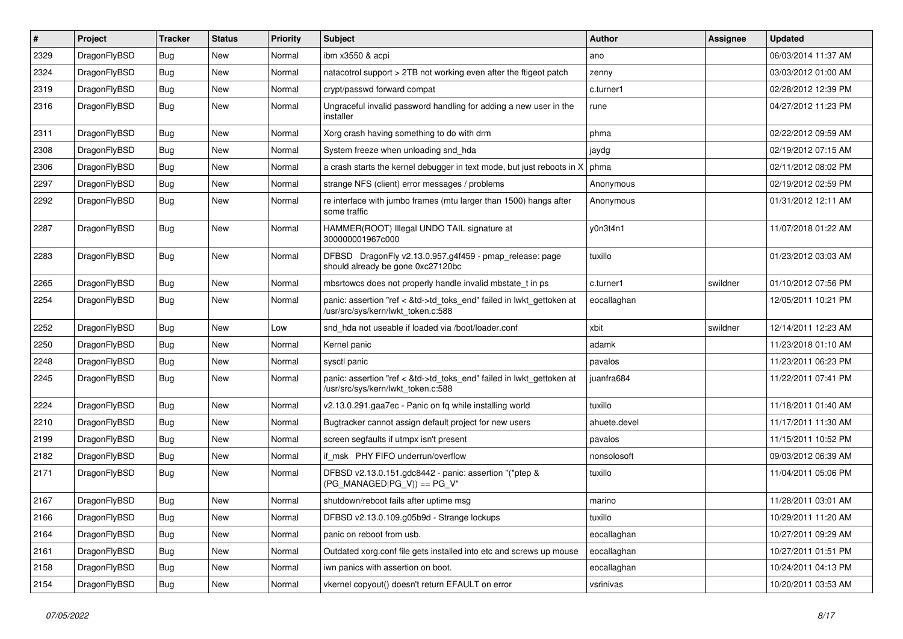| $\vert$ # | Project      | <b>Tracker</b> | <b>Status</b> | <b>Priority</b> | <b>Subject</b>                                                                                             | Author       | <b>Assignee</b> | <b>Updated</b>      |
|-----------|--------------|----------------|---------------|-----------------|------------------------------------------------------------------------------------------------------------|--------------|-----------------|---------------------|
| 2329      | DragonFlyBSD | <b>Bug</b>     | <b>New</b>    | Normal          | ibm x3550 & acpi                                                                                           | ano          |                 | 06/03/2014 11:37 AM |
| 2324      | DragonFlyBSD | <b>Bug</b>     | <b>New</b>    | Normal          | natacotrol support > 2TB not working even after the ftigeot patch                                          | zenny        |                 | 03/03/2012 01:00 AM |
| 2319      | DragonFlyBSD | Bug            | <b>New</b>    | Normal          | crypt/passwd forward compat                                                                                | c.turner1    |                 | 02/28/2012 12:39 PM |
| 2316      | DragonFlyBSD | Bug            | New           | Normal          | Ungraceful invalid password handling for adding a new user in the<br>installer                             | rune         |                 | 04/27/2012 11:23 PM |
| 2311      | DragonFlyBSD | <b>Bug</b>     | New           | Normal          | Xorg crash having something to do with drm                                                                 | phma         |                 | 02/22/2012 09:59 AM |
| 2308      | DragonFlyBSD | Bug            | <b>New</b>    | Normal          | System freeze when unloading snd_hda                                                                       | jaydg        |                 | 02/19/2012 07:15 AM |
| 2306      | DragonFlyBSD | <b>Bug</b>     | New           | Normal          | a crash starts the kernel debugger in text mode, but just reboots in X                                     | phma         |                 | 02/11/2012 08:02 PM |
| 2297      | DragonFlyBSD | Bug            | <b>New</b>    | Normal          | strange NFS (client) error messages / problems                                                             | Anonymous    |                 | 02/19/2012 02:59 PM |
| 2292      | DragonFlyBSD | Bug            | New           | Normal          | re interface with jumbo frames (mtu larger than 1500) hangs after<br>some traffic                          | Anonymous    |                 | 01/31/2012 12:11 AM |
| 2287      | DragonFlyBSD | Bug            | <b>New</b>    | Normal          | HAMMER(ROOT) Illegal UNDO TAIL signature at<br>300000001967c000                                            | y0n3t4n1     |                 | 11/07/2018 01:22 AM |
| 2283      | DragonFlyBSD | Bug            | New           | Normal          | DFBSD DragonFly v2.13.0.957.g4f459 - pmap_release: page<br>should already be gone 0xc27120bc               | tuxillo      |                 | 01/23/2012 03:03 AM |
| 2265      | DragonFlyBSD | Bug            | <b>New</b>    | Normal          | mbsrtowcs does not properly handle invalid mbstate_t in ps                                                 | c.turner1    | swildner        | 01/10/2012 07:56 PM |
| 2254      | DragonFlyBSD | Bug            | New           | Normal          | panic: assertion "ref < &td->td_toks_end" failed in lwkt_gettoken at<br>/usr/src/sys/kern/lwkt_token.c:588 | eocallaghan  |                 | 12/05/2011 10:21 PM |
| 2252      | DragonFlyBSD | <b>Bug</b>     | New           | Low             | snd_hda not useable if loaded via /boot/loader.conf                                                        | xbit         | swildner        | 12/14/2011 12:23 AM |
| 2250      | DragonFlyBSD | Bug            | <b>New</b>    | Normal          | Kernel panic                                                                                               | adamk        |                 | 11/23/2018 01:10 AM |
| 2248      | DragonFlyBSD | <b>Bug</b>     | <b>New</b>    | Normal          | sysctl panic                                                                                               | pavalos      |                 | 11/23/2011 06:23 PM |
| 2245      | DragonFlyBSD | Bug            | New           | Normal          | panic: assertion "ref < &td->td_toks_end" failed in lwkt_gettoken at<br>/usr/src/sys/kern/lwkt_token.c:588 | juanfra684   |                 | 11/22/2011 07:41 PM |
| 2224      | DragonFlyBSD | <b>Bug</b>     | New           | Normal          | v2.13.0.291.gaa7ec - Panic on fq while installing world                                                    | tuxillo      |                 | 11/18/2011 01:40 AM |
| 2210      | DragonFlyBSD | Bug            | <b>New</b>    | Normal          | Bugtracker cannot assign default project for new users                                                     | ahuete.devel |                 | 11/17/2011 11:30 AM |
| 2199      | DragonFlyBSD | <b>Bug</b>     | <b>New</b>    | Normal          | screen segfaults if utmpx isn't present                                                                    | pavalos      |                 | 11/15/2011 10:52 PM |
| 2182      | DragonFlyBSD | <b>Bug</b>     | New           | Normal          | if msk PHY FIFO underrun/overflow                                                                          | nonsolosoft  |                 | 09/03/2012 06:39 AM |
| 2171      | DragonFlyBSD | Bug            | <b>New</b>    | Normal          | DFBSD v2.13.0.151.gdc8442 - panic: assertion "(*ptep &<br>$(PG_MANAGED PG_V)$ == PG_V"                     | tuxillo      |                 | 11/04/2011 05:06 PM |
| 2167      | DragonFlyBSD | <b>Bug</b>     | <b>New</b>    | Normal          | shutdown/reboot fails after uptime msg                                                                     | marino       |                 | 11/28/2011 03:01 AM |
| 2166      | DragonFlyBSD | Bug            | New           | Normal          | DFBSD v2.13.0.109.g05b9d - Strange lockups                                                                 | tuxillo      |                 | 10/29/2011 11:20 AM |
| 2164      | DragonFlyBSD | <b>Bug</b>     | New           | Normal          | panic on reboot from usb.                                                                                  | eocallaghan  |                 | 10/27/2011 09:29 AM |
| 2161      | DragonFlyBSD | <b>Bug</b>     | New           | Normal          | Outdated xorg.conf file gets installed into etc and screws up mouse                                        | eocallaghan  |                 | 10/27/2011 01:51 PM |
| 2158      | DragonFlyBSD | <b>Bug</b>     | New           | Normal          | iwn panics with assertion on boot.                                                                         | eocallaghan  |                 | 10/24/2011 04:13 PM |
| 2154      | DragonFlyBSD | Bug            | New           | Normal          | vkernel copyout() doesn't return EFAULT on error                                                           | vsrinivas    |                 | 10/20/2011 03:53 AM |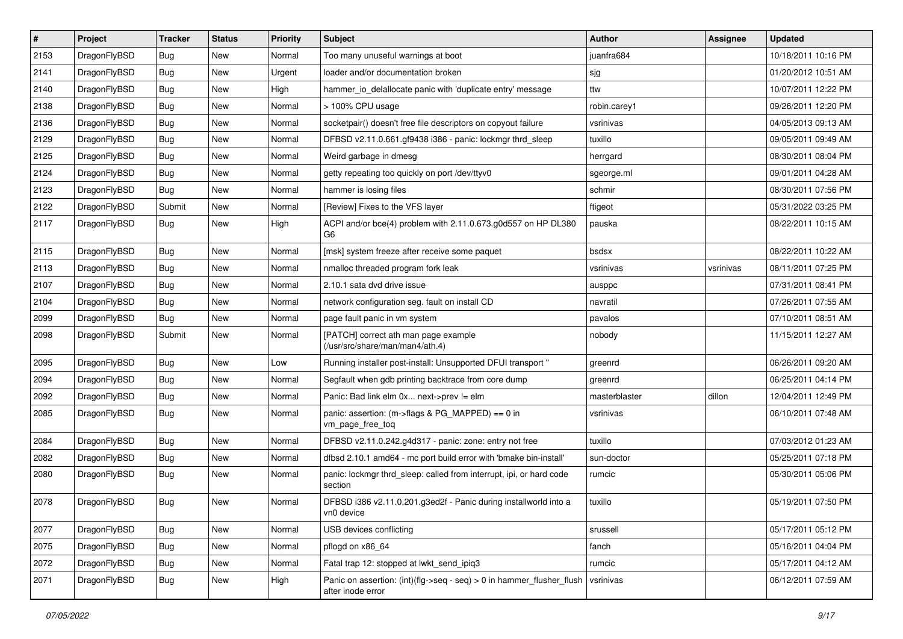| $\pmb{\#}$ | Project      | <b>Tracker</b> | <b>Status</b> | <b>Priority</b> | Subject                                                                                    | <b>Author</b> | <b>Assignee</b> | <b>Updated</b>      |
|------------|--------------|----------------|---------------|-----------------|--------------------------------------------------------------------------------------------|---------------|-----------------|---------------------|
| 2153       | DragonFlyBSD | Bug            | <b>New</b>    | Normal          | Too many unuseful warnings at boot                                                         | juanfra684    |                 | 10/18/2011 10:16 PM |
| 2141       | DragonFlyBSD | Bug            | <b>New</b>    | Urgent          | loader and/or documentation broken                                                         | sjg           |                 | 01/20/2012 10:51 AM |
| 2140       | DragonFlyBSD | Bug            | New           | High            | hammer io delallocate panic with 'duplicate entry' message                                 | ttw           |                 | 10/07/2011 12:22 PM |
| 2138       | DragonFlyBSD | Bug            | <b>New</b>    | Normal          | > 100% CPU usage                                                                           | robin.carey1  |                 | 09/26/2011 12:20 PM |
| 2136       | DragonFlyBSD | Bug            | <b>New</b>    | Normal          | socketpair() doesn't free file descriptors on copyout failure                              | vsrinivas     |                 | 04/05/2013 09:13 AM |
| 2129       | DragonFlyBSD | Bug            | New           | Normal          | DFBSD v2.11.0.661.gf9438 i386 - panic: lockmgr thrd_sleep                                  | tuxillo       |                 | 09/05/2011 09:49 AM |
| 2125       | DragonFlyBSD | Bug            | <b>New</b>    | Normal          | Weird garbage in dmesg                                                                     | herrgard      |                 | 08/30/2011 08:04 PM |
| 2124       | DragonFlyBSD | Bug            | New           | Normal          | getty repeating too quickly on port /dev/ttyv0                                             | sgeorge.ml    |                 | 09/01/2011 04:28 AM |
| 2123       | DragonFlyBSD | Bug            | <b>New</b>    | Normal          | hammer is losing files                                                                     | schmir        |                 | 08/30/2011 07:56 PM |
| 2122       | DragonFlyBSD | Submit         | <b>New</b>    | Normal          | [Review] Fixes to the VFS layer                                                            | ftigeot       |                 | 05/31/2022 03:25 PM |
| 2117       | DragonFlyBSD | Bug            | <b>New</b>    | High            | ACPI and/or bce(4) problem with 2.11.0.673.g0d557 on HP DL380<br>G6                        | pauska        |                 | 08/22/2011 10:15 AM |
| 2115       | DragonFlyBSD | Bug            | New           | Normal          | [msk] system freeze after receive some paquet                                              | bsdsx         |                 | 08/22/2011 10:22 AM |
| 2113       | DragonFlyBSD | Bug            | New           | Normal          | nmalloc threaded program fork leak                                                         | vsrinivas     | vsrinivas       | 08/11/2011 07:25 PM |
| 2107       | DragonFlyBSD | Bug            | <b>New</b>    | Normal          | 2.10.1 sata dvd drive issue                                                                | ausppc        |                 | 07/31/2011 08:41 PM |
| 2104       | DragonFlyBSD | Bug            | New           | Normal          | network configuration seg. fault on install CD                                             | navratil      |                 | 07/26/2011 07:55 AM |
| 2099       | DragonFlyBSD | Bug            | <b>New</b>    | Normal          | page fault panic in vm system                                                              | pavalos       |                 | 07/10/2011 08:51 AM |
| 2098       | DragonFlyBSD | Submit         | <b>New</b>    | Normal          | [PATCH] correct ath man page example<br>(/usr/src/share/man/man4/ath.4)                    | nobody        |                 | 11/15/2011 12:27 AM |
| 2095       | DragonFlyBSD | Bug            | <b>New</b>    | Low             | Running installer post-install: Unsupported DFUI transport "                               | greenrd       |                 | 06/26/2011 09:20 AM |
| 2094       | DragonFlyBSD | Bug            | <b>New</b>    | Normal          | Segfault when gdb printing backtrace from core dump                                        | greenrd       |                 | 06/25/2011 04:14 PM |
| 2092       | DragonFlyBSD | Bug            | New           | Normal          | Panic: Bad link elm 0x next->prev != elm                                                   | masterblaster | dillon          | 12/04/2011 12:49 PM |
| 2085       | DragonFlyBSD | Bug            | <b>New</b>    | Normal          | panic: assertion: (m->flags & PG_MAPPED) == 0 in<br>vm_page_free_toq                       | vsrinivas     |                 | 06/10/2011 07:48 AM |
| 2084       | DragonFlyBSD | Bug            | <b>New</b>    | Normal          | DFBSD v2.11.0.242.g4d317 - panic: zone: entry not free                                     | tuxillo       |                 | 07/03/2012 01:23 AM |
| 2082       | DragonFlyBSD | Bug            | New           | Normal          | dfbsd 2.10.1 amd64 - mc port build error with 'bmake bin-install'                          | sun-doctor    |                 | 05/25/2011 07:18 PM |
| 2080       | DragonFlyBSD | Bug            | New           | Normal          | panic: lockmgr thrd_sleep: called from interrupt, ipi, or hard code<br>section             | rumcic        |                 | 05/30/2011 05:06 PM |
| 2078       | DragonFlyBSD | Bug            | <b>New</b>    | Normal          | DFBSD i386 v2.11.0.201.g3ed2f - Panic during installworld into a<br>vn0 device             | tuxillo       |                 | 05/19/2011 07:50 PM |
| 2077       | DragonFlyBSD | <b>Bug</b>     | <b>New</b>    | Normal          | USB devices conflicting                                                                    | srussell      |                 | 05/17/2011 05:12 PM |
| 2075       | DragonFlyBSD | <b>Bug</b>     | New           | Normal          | pflogd on x86_64                                                                           | fanch         |                 | 05/16/2011 04:04 PM |
| 2072       | DragonFlyBSD | Bug            | New           | Normal          | Fatal trap 12: stopped at lwkt_send_ipiq3                                                  | rumcic        |                 | 05/17/2011 04:12 AM |
| 2071       | DragonFlyBSD | <b>Bug</b>     | New           | High            | Panic on assertion: (int)(flg->seq - seq) > 0 in hammer_flusher_flush<br>after inode error | vsrinivas     |                 | 06/12/2011 07:59 AM |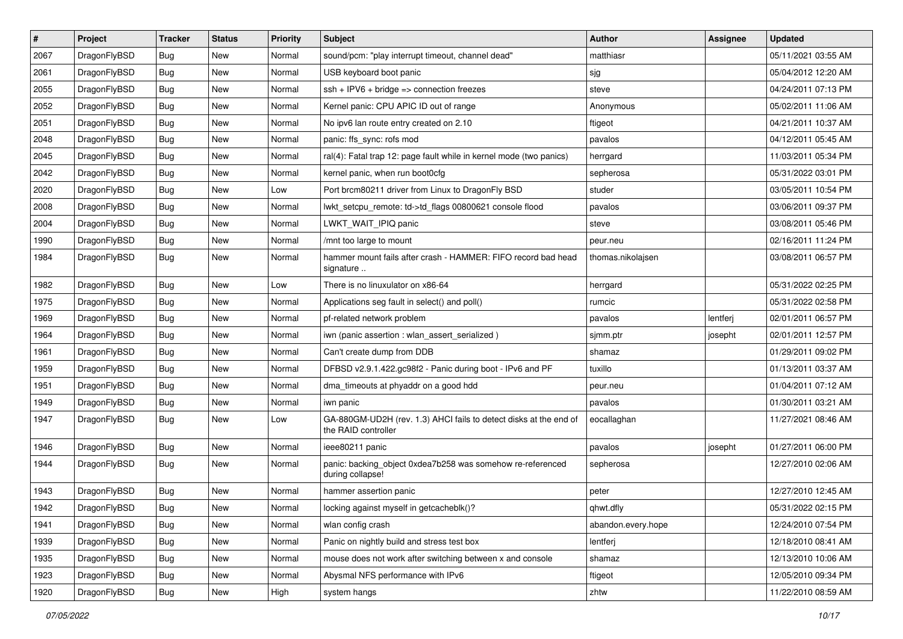| $\pmb{\#}$ | Project      | <b>Tracker</b> | <b>Status</b> | <b>Priority</b> | Subject                                                                                  | <b>Author</b>      | <b>Assignee</b> | <b>Updated</b>      |
|------------|--------------|----------------|---------------|-----------------|------------------------------------------------------------------------------------------|--------------------|-----------------|---------------------|
| 2067       | DragonFlyBSD | <b>Bug</b>     | New           | Normal          | sound/pcm: "play interrupt timeout, channel dead"                                        | matthiasr          |                 | 05/11/2021 03:55 AM |
| 2061       | DragonFlyBSD | Bug            | <b>New</b>    | Normal          | USB keyboard boot panic                                                                  | sjg                |                 | 05/04/2012 12:20 AM |
| 2055       | DragonFlyBSD | Bug            | <b>New</b>    | Normal          | $ssh + IPV6 + bridge \Rightarrow connection freezes$                                     | steve              |                 | 04/24/2011 07:13 PM |
| 2052       | DragonFlyBSD | Bug            | New           | Normal          | Kernel panic: CPU APIC ID out of range                                                   | Anonymous          |                 | 05/02/2011 11:06 AM |
| 2051       | DragonFlyBSD | Bug            | <b>New</b>    | Normal          | No ipv6 lan route entry created on 2.10                                                  | ftigeot            |                 | 04/21/2011 10:37 AM |
| 2048       | DragonFlyBSD | Bug            | New           | Normal          | panic: ffs sync: rofs mod                                                                | pavalos            |                 | 04/12/2011 05:45 AM |
| 2045       | DragonFlyBSD | Bug            | New           | Normal          | ral(4): Fatal trap 12: page fault while in kernel mode (two panics)                      | herrgard           |                 | 11/03/2011 05:34 PM |
| 2042       | DragonFlyBSD | Bug            | <b>New</b>    | Normal          | kernel panic, when run boot0cfg                                                          | sepherosa          |                 | 05/31/2022 03:01 PM |
| 2020       | DragonFlyBSD | Bug            | <b>New</b>    | Low             | Port brcm80211 driver from Linux to DragonFly BSD                                        | studer             |                 | 03/05/2011 10:54 PM |
| 2008       | DragonFlyBSD | Bug            | <b>New</b>    | Normal          | lwkt_setcpu_remote: td->td_flags 00800621 console flood                                  | pavalos            |                 | 03/06/2011 09:37 PM |
| 2004       | DragonFlyBSD | Bug            | New           | Normal          | LWKT WAIT IPIQ panic                                                                     | steve              |                 | 03/08/2011 05:46 PM |
| 1990       | DragonFlyBSD | Bug            | New           | Normal          | /mnt too large to mount                                                                  | peur.neu           |                 | 02/16/2011 11:24 PM |
| 1984       | DragonFlyBSD | Bug            | New           | Normal          | hammer mount fails after crash - HAMMER: FIFO record bad head<br>signature               | thomas.nikolajsen  |                 | 03/08/2011 06:57 PM |
| 1982       | DragonFlyBSD | Bug            | <b>New</b>    | Low             | There is no linuxulator on x86-64                                                        | herrgard           |                 | 05/31/2022 02:25 PM |
| 1975       | DragonFlyBSD | Bug            | <b>New</b>    | Normal          | Applications seg fault in select() and poll()                                            | rumcic             |                 | 05/31/2022 02:58 PM |
| 1969       | DragonFlyBSD | Bug            | New           | Normal          | pf-related network problem                                                               | pavalos            | lentferj        | 02/01/2011 06:57 PM |
| 1964       | DragonFlyBSD | Bug            | <b>New</b>    | Normal          | iwn (panic assertion : wlan_assert_serialized)                                           | sjmm.ptr           | josepht         | 02/01/2011 12:57 PM |
| 1961       | DragonFlyBSD | Bug            | New           | Normal          | Can't create dump from DDB                                                               | shamaz             |                 | 01/29/2011 09:02 PM |
| 1959       | DragonFlyBSD | Bug            | <b>New</b>    | Normal          | DFBSD v2.9.1.422.gc98f2 - Panic during boot - IPv6 and PF                                | tuxillo            |                 | 01/13/2011 03:37 AM |
| 1951       | DragonFlyBSD | Bug            | New           | Normal          | dma timeouts at phyaddr on a good hdd                                                    | peur.neu           |                 | 01/04/2011 07:12 AM |
| 1949       | DragonFlyBSD | <b>Bug</b>     | <b>New</b>    | Normal          | iwn panic                                                                                | pavalos            |                 | 01/30/2011 03:21 AM |
| 1947       | DragonFlyBSD | Bug            | New           | Low             | GA-880GM-UD2H (rev. 1.3) AHCI fails to detect disks at the end of<br>the RAID controller | eocallaghan        |                 | 11/27/2021 08:46 AM |
| 1946       | DragonFlyBSD | <b>Bug</b>     | <b>New</b>    | Normal          | ieee80211 panic                                                                          | pavalos            | josepht         | 01/27/2011 06:00 PM |
| 1944       | DragonFlyBSD | Bug            | <b>New</b>    | Normal          | panic: backing_object 0xdea7b258 was somehow re-referenced<br>during collapse!           | sepherosa          |                 | 12/27/2010 02:06 AM |
| 1943       | DragonFlyBSD | <b>Bug</b>     | <b>New</b>    | Normal          | hammer assertion panic                                                                   | peter              |                 | 12/27/2010 12:45 AM |
| 1942       | DragonFlyBSD | Bug            | New           | Normal          | locking against myself in getcacheblk()?                                                 | qhwt.dfly          |                 | 05/31/2022 02:15 PM |
| 1941       | DragonFlyBSD | Bug            | New           | Normal          | wlan config crash                                                                        | abandon.every.hope |                 | 12/24/2010 07:54 PM |
| 1939       | DragonFlyBSD | Bug            | New           | Normal          | Panic on nightly build and stress test box                                               | lentferj           |                 | 12/18/2010 08:41 AM |
| 1935       | DragonFlyBSD | Bug            | New           | Normal          | mouse does not work after switching between x and console                                | shamaz             |                 | 12/13/2010 10:06 AM |
| 1923       | DragonFlyBSD | Bug            | New           | Normal          | Abysmal NFS performance with IPv6                                                        | ftigeot            |                 | 12/05/2010 09:34 PM |
| 1920       | DragonFlyBSD | <b>Bug</b>     | New           | High            | system hangs                                                                             | zhtw               |                 | 11/22/2010 08:59 AM |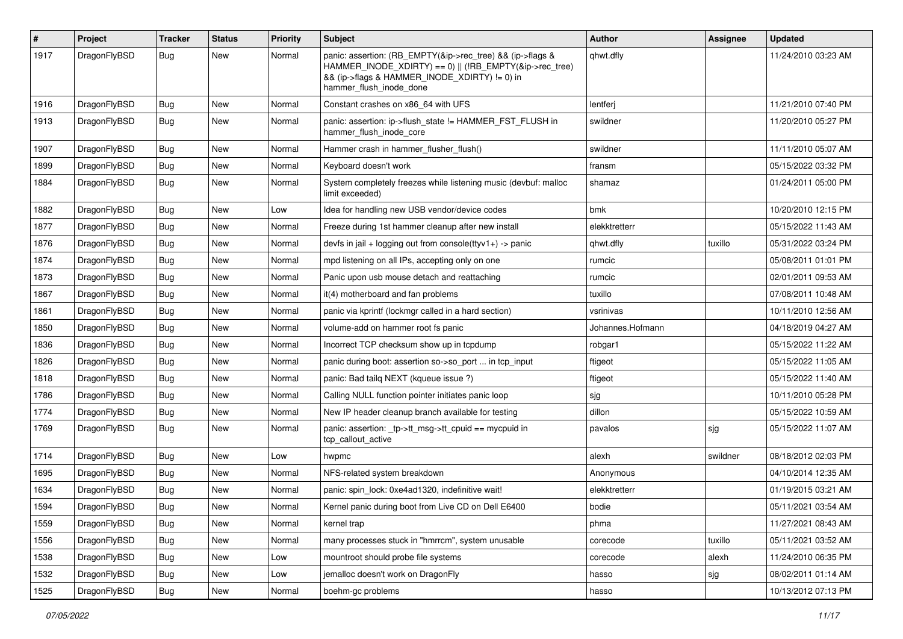| $\vert$ # | Project      | Tracker    | <b>Status</b> | <b>Priority</b> | <b>Subject</b>                                                                                                                                                                                    | Author           | <b>Assignee</b> | <b>Updated</b>      |
|-----------|--------------|------------|---------------|-----------------|---------------------------------------------------------------------------------------------------------------------------------------------------------------------------------------------------|------------------|-----------------|---------------------|
| 1917      | DragonFlyBSD | Bug        | New           | Normal          | panic: assertion: (RB_EMPTY(&ip->rec_tree) && (ip->flags &<br>HAMMER_INODE_XDIRTY) == 0)    (!RB_EMPTY(&ip->rec_tree)<br>&& (ip->flags & HAMMER INODE XDIRTY) != 0) in<br>hammer flush inode done | qhwt.dfly        |                 | 11/24/2010 03:23 AM |
| 1916      | DragonFlyBSD | <b>Bug</b> | <b>New</b>    | Normal          | Constant crashes on x86_64 with UFS                                                                                                                                                               | lentferj         |                 | 11/21/2010 07:40 PM |
| 1913      | DragonFlyBSD | <b>Bug</b> | New           | Normal          | panic: assertion: ip->flush_state != HAMMER_FST_FLUSH in<br>hammer_flush_inode_core                                                                                                               | swildner         |                 | 11/20/2010 05:27 PM |
| 1907      | DragonFlyBSD | <b>Bug</b> | New           | Normal          | Hammer crash in hammer flusher flush()                                                                                                                                                            | swildner         |                 | 11/11/2010 05:07 AM |
| 1899      | DragonFlyBSD | <b>Bug</b> | New           | Normal          | Keyboard doesn't work                                                                                                                                                                             | fransm           |                 | 05/15/2022 03:32 PM |
| 1884      | DragonFlyBSD | <b>Bug</b> | New           | Normal          | System completely freezes while listening music (devbuf: malloc<br>limit exceeded)                                                                                                                | shamaz           |                 | 01/24/2011 05:00 PM |
| 1882      | DragonFlyBSD | <b>Bug</b> | New           | Low             | Idea for handling new USB vendor/device codes                                                                                                                                                     | bmk              |                 | 10/20/2010 12:15 PM |
| 1877      | DragonFlyBSD | <b>Bug</b> | <b>New</b>    | Normal          | Freeze during 1st hammer cleanup after new install                                                                                                                                                | elekktretterr    |                 | 05/15/2022 11:43 AM |
| 1876      | DragonFlyBSD | Bug        | New           | Normal          | devfs in $ ail + logging$ out from console(ttyv1+) -> panic                                                                                                                                       | qhwt.dfly        | tuxillo         | 05/31/2022 03:24 PM |
| 1874      | DragonFlyBSD | Bug        | <b>New</b>    | Normal          | mpd listening on all IPs, accepting only on one                                                                                                                                                   | rumcic           |                 | 05/08/2011 01:01 PM |
| 1873      | DragonFlyBSD | Bug        | New           | Normal          | Panic upon usb mouse detach and reattaching                                                                                                                                                       | rumcic           |                 | 02/01/2011 09:53 AM |
| 1867      | DragonFlyBSD | Bug        | New           | Normal          | it(4) motherboard and fan problems                                                                                                                                                                | tuxillo          |                 | 07/08/2011 10:48 AM |
| 1861      | DragonFlyBSD | <b>Bug</b> | <b>New</b>    | Normal          | panic via kprintf (lockmgr called in a hard section)                                                                                                                                              | vsrinivas        |                 | 10/11/2010 12:56 AM |
| 1850      | DragonFlyBSD | Bug        | New           | Normal          | volume-add on hammer root fs panic                                                                                                                                                                | Johannes.Hofmann |                 | 04/18/2019 04:27 AM |
| 1836      | DragonFlyBSD | Bug        | New           | Normal          | Incorrect TCP checksum show up in tcpdump                                                                                                                                                         | robgar1          |                 | 05/15/2022 11:22 AM |
| 1826      | DragonFlyBSD | Bug        | New           | Normal          | panic during boot: assertion so->so port  in tcp input                                                                                                                                            | ftigeot          |                 | 05/15/2022 11:05 AM |
| 1818      | DragonFlyBSD | Bug        | New           | Normal          | panic: Bad tailq NEXT (kqueue issue ?)                                                                                                                                                            | ftigeot          |                 | 05/15/2022 11:40 AM |
| 1786      | DragonFlyBSD | Bug        | <b>New</b>    | Normal          | Calling NULL function pointer initiates panic loop                                                                                                                                                | sjg              |                 | 10/11/2010 05:28 PM |
| 1774      | DragonFlyBSD | Bug        | New           | Normal          | New IP header cleanup branch available for testing                                                                                                                                                | dillon           |                 | 05/15/2022 10:59 AM |
| 1769      | DragonFlyBSD | Bug        | New           | Normal          | panic: assertion: _tp->tt_msg->tt_cpuid == mycpuid in<br>tcp_callout_active                                                                                                                       | pavalos          | sjg             | 05/15/2022 11:07 AM |
| 1714      | DragonFlyBSD | <b>Bug</b> | New           | Low             | hwpmc                                                                                                                                                                                             | alexh            | swildner        | 08/18/2012 02:03 PM |
| 1695      | DragonFlyBSD | Bug        | <b>New</b>    | Normal          | NFS-related system breakdown                                                                                                                                                                      | Anonymous        |                 | 04/10/2014 12:35 AM |
| 1634      | DragonFlyBSD | Bug        | New           | Normal          | panic: spin lock: 0xe4ad1320, indefinitive wait!                                                                                                                                                  | elekktretterr    |                 | 01/19/2015 03:21 AM |
| 1594      | DragonFlyBSD | Bug        | New           | Normal          | Kernel panic during boot from Live CD on Dell E6400                                                                                                                                               | bodie            |                 | 05/11/2021 03:54 AM |
| 1559      | DragonFlyBSD | <b>Bug</b> | New           | Normal          | kernel trap                                                                                                                                                                                       | phma             |                 | 11/27/2021 08:43 AM |
| 1556      | DragonFlyBSD | <b>Bug</b> | New           | Normal          | many processes stuck in "hmrrcm", system unusable                                                                                                                                                 | corecode         | tuxillo         | 05/11/2021 03:52 AM |
| 1538      | DragonFlyBSD | <b>Bug</b> | New           | Low             | mountroot should probe file systems                                                                                                                                                               | corecode         | alexh           | 11/24/2010 06:35 PM |
| 1532      | DragonFlyBSD | <b>Bug</b> | New           | Low             | jemalloc doesn't work on DragonFly                                                                                                                                                                | hasso            | sjg             | 08/02/2011 01:14 AM |
| 1525      | DragonFlyBSD | <b>Bug</b> | New           | Normal          | boehm-gc problems                                                                                                                                                                                 | hasso            |                 | 10/13/2012 07:13 PM |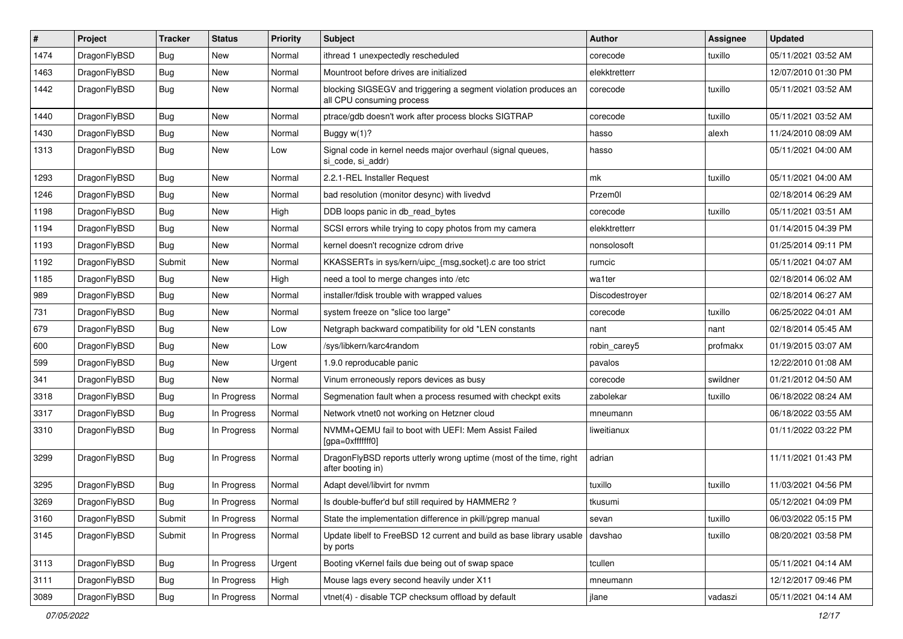| #    | Project      | <b>Tracker</b> | <b>Status</b> | <b>Priority</b> | <b>Subject</b>                                                                               | <b>Author</b>  | Assignee | <b>Updated</b>      |
|------|--------------|----------------|---------------|-----------------|----------------------------------------------------------------------------------------------|----------------|----------|---------------------|
| 1474 | DragonFlyBSD | <b>Bug</b>     | <b>New</b>    | Normal          | ithread 1 unexpectedly rescheduled                                                           | corecode       | tuxillo  | 05/11/2021 03:52 AM |
| 1463 | DragonFlyBSD | <b>Bug</b>     | <b>New</b>    | Normal          | Mountroot before drives are initialized                                                      | elekktretterr  |          | 12/07/2010 01:30 PM |
| 1442 | DragonFlyBSD | Bug            | <b>New</b>    | Normal          | blocking SIGSEGV and triggering a segment violation produces an<br>all CPU consuming process | corecode       | tuxillo  | 05/11/2021 03:52 AM |
| 1440 | DragonFlyBSD | Bug            | <b>New</b>    | Normal          | ptrace/gdb doesn't work after process blocks SIGTRAP                                         | corecode       | tuxillo  | 05/11/2021 03:52 AM |
| 1430 | DragonFlyBSD | <b>Bug</b>     | New           | Normal          | Buggy $w(1)$ ?                                                                               | hasso          | alexh    | 11/24/2010 08:09 AM |
| 1313 | DragonFlyBSD | Bug            | <b>New</b>    | Low             | Signal code in kernel needs major overhaul (signal queues,<br>si code, si addr)              | hasso          |          | 05/11/2021 04:00 AM |
| 1293 | DragonFlyBSD | <b>Bug</b>     | <b>New</b>    | Normal          | 2.2.1-REL Installer Request                                                                  | mk             | tuxillo  | 05/11/2021 04:00 AM |
| 1246 | DragonFlyBSD | Bug            | <b>New</b>    | Normal          | bad resolution (monitor desync) with livedvd                                                 | Przem0l        |          | 02/18/2014 06:29 AM |
| 1198 | DragonFlyBSD | <b>Bug</b>     | <b>New</b>    | High            | DDB loops panic in db_read_bytes                                                             | corecode       | tuxillo  | 05/11/2021 03:51 AM |
| 1194 | DragonFlyBSD | Bug            | <b>New</b>    | Normal          | SCSI errors while trying to copy photos from my camera                                       | elekktretterr  |          | 01/14/2015 04:39 PM |
| 1193 | DragonFlyBSD | Bug            | <b>New</b>    | Normal          | kernel doesn't recognize cdrom drive                                                         | nonsolosoft    |          | 01/25/2014 09:11 PM |
| 1192 | DragonFlyBSD | Submit         | <b>New</b>    | Normal          | KKASSERTs in sys/kern/uipc_{msg,socket}.c are too strict                                     | rumcic         |          | 05/11/2021 04:07 AM |
| 1185 | DragonFlyBSD | Bug            | <b>New</b>    | High            | need a tool to merge changes into /etc                                                       | wa1ter         |          | 02/18/2014 06:02 AM |
| 989  | DragonFlyBSD | <b>Bug</b>     | <b>New</b>    | Normal          | installer/fdisk trouble with wrapped values                                                  | Discodestroyer |          | 02/18/2014 06:27 AM |
| 731  | DragonFlyBSD | <b>Bug</b>     | <b>New</b>    | Normal          | system freeze on "slice too large"                                                           | corecode       | tuxillo  | 06/25/2022 04:01 AM |
| 679  | DragonFlyBSD | <b>Bug</b>     | <b>New</b>    | Low             | Netgraph backward compatibility for old *LEN constants                                       | nant           | nant     | 02/18/2014 05:45 AM |
| 600  | DragonFlyBSD | <b>Bug</b>     | New           | Low             | /sys/libkern/karc4random                                                                     | robin_carey5   | profmakx | 01/19/2015 03:07 AM |
| 599  | DragonFlyBSD | Bug            | <b>New</b>    | Urgent          | 1.9.0 reproducable panic                                                                     | pavalos        |          | 12/22/2010 01:08 AM |
| 341  | DragonFlyBSD | <b>Bug</b>     | New           | Normal          | Vinum erroneously repors devices as busy                                                     | corecode       | swildner | 01/21/2012 04:50 AM |
| 3318 | DragonFlyBSD | <b>Bug</b>     | In Progress   | Normal          | Segmenation fault when a process resumed with checkpt exits                                  | zabolekar      | tuxillo  | 06/18/2022 08:24 AM |
| 3317 | DragonFlyBSD | <b>Bug</b>     | In Progress   | Normal          | Network vtnet0 not working on Hetzner cloud                                                  | mneumann       |          | 06/18/2022 03:55 AM |
| 3310 | DragonFlyBSD | Bug            | In Progress   | Normal          | NVMM+QEMU fail to boot with UEFI: Mem Assist Failed<br>[gpa=0xfffffff0]                      | liweitianux    |          | 01/11/2022 03:22 PM |
| 3299 | DragonFlyBSD | <b>Bug</b>     | In Progress   | Normal          | DragonFlyBSD reports utterly wrong uptime (most of the time, right<br>after booting in)      | adrian         |          | 11/11/2021 01:43 PM |
| 3295 | DragonFlyBSD | Bug            | In Progress   | Normal          | Adapt devel/libvirt for nvmm                                                                 | tuxillo        | tuxillo  | 11/03/2021 04:56 PM |
| 3269 | DragonFlyBSD | <b>Bug</b>     | In Progress   | Normal          | Is double-buffer'd buf still required by HAMMER2?                                            | tkusumi        |          | 05/12/2021 04:09 PM |
| 3160 | DragonFlyBSD | Submit         | In Progress   | Normal          | State the implementation difference in pkill/pgrep manual                                    | sevan          | tuxillo  | 06/03/2022 05:15 PM |
| 3145 | DragonFlyBSD | Submit         | In Progress   | Normal          | Update libelf to FreeBSD 12 current and build as base library usable<br>by ports             | davshao        | tuxillo  | 08/20/2021 03:58 PM |
| 3113 | DragonFlyBSD | <b>Bug</b>     | In Progress   | Urgent          | Booting vKernel fails due being out of swap space                                            | tcullen        |          | 05/11/2021 04:14 AM |
| 3111 | DragonFlyBSD | <b>Bug</b>     | In Progress   | High            | Mouse lags every second heavily under X11                                                    | mneumann       |          | 12/12/2017 09:46 PM |
| 3089 | DragonFlyBSD | Bug            | In Progress   | Normal          | vtnet(4) - disable TCP checksum offload by default                                           | jlane          | vadaszi  | 05/11/2021 04:14 AM |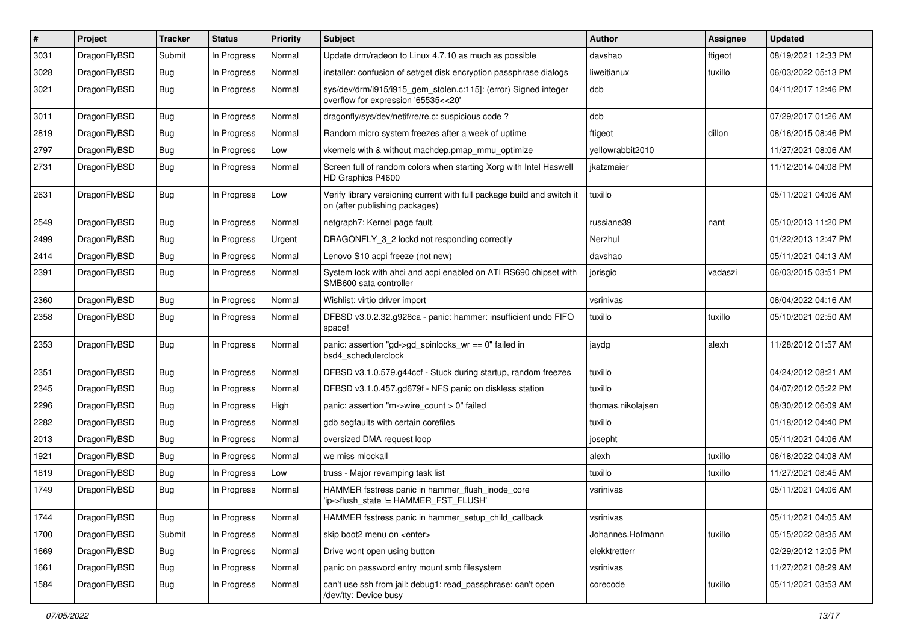| #    | Project      | <b>Tracker</b> | <b>Status</b> | <b>Priority</b> | Subject                                                                                                   | <b>Author</b>     | <b>Assignee</b> | <b>Updated</b>      |
|------|--------------|----------------|---------------|-----------------|-----------------------------------------------------------------------------------------------------------|-------------------|-----------------|---------------------|
| 3031 | DragonFlyBSD | Submit         | In Progress   | Normal          | Update drm/radeon to Linux 4.7.10 as much as possible                                                     | davshao           | ftigeot         | 08/19/2021 12:33 PM |
| 3028 | DragonFlyBSD | Bug            | In Progress   | Normal          | installer: confusion of set/get disk encryption passphrase dialogs                                        | liweitianux       | tuxillo         | 06/03/2022 05:13 PM |
| 3021 | DragonFlyBSD | Bug            | In Progress   | Normal          | sys/dev/drm/i915/i915_gem_stolen.c:115]: (error) Signed integer<br>overflow for expression '65535<<20'    | dcb               |                 | 04/11/2017 12:46 PM |
| 3011 | DragonFlyBSD | Bug            | In Progress   | Normal          | dragonfly/sys/dev/netif/re/re.c: suspicious code?                                                         | dcb               |                 | 07/29/2017 01:26 AM |
| 2819 | DragonFlyBSD | Bug            | In Progress   | Normal          | Random micro system freezes after a week of uptime                                                        | ftigeot           | dillon          | 08/16/2015 08:46 PM |
| 2797 | DragonFlyBSD | Bug            | In Progress   | Low             | vkernels with & without machdep.pmap_mmu_optimize                                                         | yellowrabbit2010  |                 | 11/27/2021 08:06 AM |
| 2731 | DragonFlyBSD | Bug            | In Progress   | Normal          | Screen full of random colors when starting Xorg with Intel Haswell<br>HD Graphics P4600                   | jkatzmaier        |                 | 11/12/2014 04:08 PM |
| 2631 | DragonFlyBSD | Bug            | In Progress   | Low             | Verify library versioning current with full package build and switch it<br>on (after publishing packages) | tuxillo           |                 | 05/11/2021 04:06 AM |
| 2549 | DragonFlyBSD | Bug            | In Progress   | Normal          | netgraph7: Kernel page fault.                                                                             | russiane39        | nant            | 05/10/2013 11:20 PM |
| 2499 | DragonFlyBSD | Bug            | In Progress   | Urgent          | DRAGONFLY_3_2 lockd not responding correctly                                                              | Nerzhul           |                 | 01/22/2013 12:47 PM |
| 2414 | DragonFlyBSD | Bug            | In Progress   | Normal          | Lenovo S10 acpi freeze (not new)                                                                          | davshao           |                 | 05/11/2021 04:13 AM |
| 2391 | DragonFlyBSD | Bug            | In Progress   | Normal          | System lock with ahci and acpi enabled on ATI RS690 chipset with<br>SMB600 sata controller                | jorisgio          | vadaszi         | 06/03/2015 03:51 PM |
| 2360 | DragonFlyBSD | Bug            | In Progress   | Normal          | Wishlist: virtio driver import                                                                            | vsrinivas         |                 | 06/04/2022 04:16 AM |
| 2358 | DragonFlyBSD | Bug            | In Progress   | Normal          | DFBSD v3.0.2.32.g928ca - panic: hammer: insufficient undo FIFO<br>space!                                  | tuxillo           | tuxillo         | 05/10/2021 02:50 AM |
| 2353 | DragonFlyBSD | Bug            | In Progress   | Normal          | panic: assertion "gd->gd_spinlocks_wr == 0" failed in<br>bsd4_schedulerclock                              | jaydg             | alexh           | 11/28/2012 01:57 AM |
| 2351 | DragonFlyBSD | Bug            | In Progress   | Normal          | DFBSD v3.1.0.579.g44ccf - Stuck during startup, random freezes                                            | tuxillo           |                 | 04/24/2012 08:21 AM |
| 2345 | DragonFlyBSD | Bug            | In Progress   | Normal          | DFBSD v3.1.0.457.gd679f - NFS panic on diskless station                                                   | tuxillo           |                 | 04/07/2012 05:22 PM |
| 2296 | DragonFlyBSD | Bug            | In Progress   | High            | panic: assertion "m->wire_count > 0" failed                                                               | thomas.nikolajsen |                 | 08/30/2012 06:09 AM |
| 2282 | DragonFlyBSD | Bug            | In Progress   | Normal          | gdb segfaults with certain corefiles                                                                      | tuxillo           |                 | 01/18/2012 04:40 PM |
| 2013 | DragonFlyBSD | Bug            | In Progress   | Normal          | oversized DMA request loop                                                                                | josepht           |                 | 05/11/2021 04:06 AM |
| 1921 | DragonFlyBSD | Bug            | In Progress   | Normal          | we miss mlockall                                                                                          | alexh             | tuxillo         | 06/18/2022 04:08 AM |
| 1819 | DragonFlyBSD | Bug            | In Progress   | Low             | truss - Major revamping task list                                                                         | tuxillo           | tuxillo         | 11/27/2021 08:45 AM |
| 1749 | DragonFlyBSD | Bug            | In Progress   | Normal          | HAMMER fsstress panic in hammer_flush_inode_core<br>'ip->flush_state != HAMMER_FST_FLUSH'                 | vsrinivas         |                 | 05/11/2021 04:06 AM |
| 1744 | DragonFlyBSD | Bug            | In Progress   | Normal          | HAMMER fsstress panic in hammer_setup_child_callback                                                      | vsrinivas         |                 | 05/11/2021 04:05 AM |
| 1700 | DragonFlyBSD | Submit         | In Progress   | Normal          | skip boot2 menu on <enter></enter>                                                                        | Johannes.Hofmann  | tuxillo         | 05/15/2022 08:35 AM |
| 1669 | DragonFlyBSD | <b>Bug</b>     | In Progress   | Normal          | Drive wont open using button                                                                              | elekktretterr     |                 | 02/29/2012 12:05 PM |
| 1661 | DragonFlyBSD | <b>Bug</b>     | In Progress   | Normal          | panic on password entry mount smb filesystem                                                              | vsrinivas         |                 | 11/27/2021 08:29 AM |
| 1584 | DragonFlyBSD | <b>Bug</b>     | In Progress   | Normal          | can't use ssh from jail: debug1: read_passphrase: can't open<br>/dev/tty: Device busy                     | corecode          | tuxillo         | 05/11/2021 03:53 AM |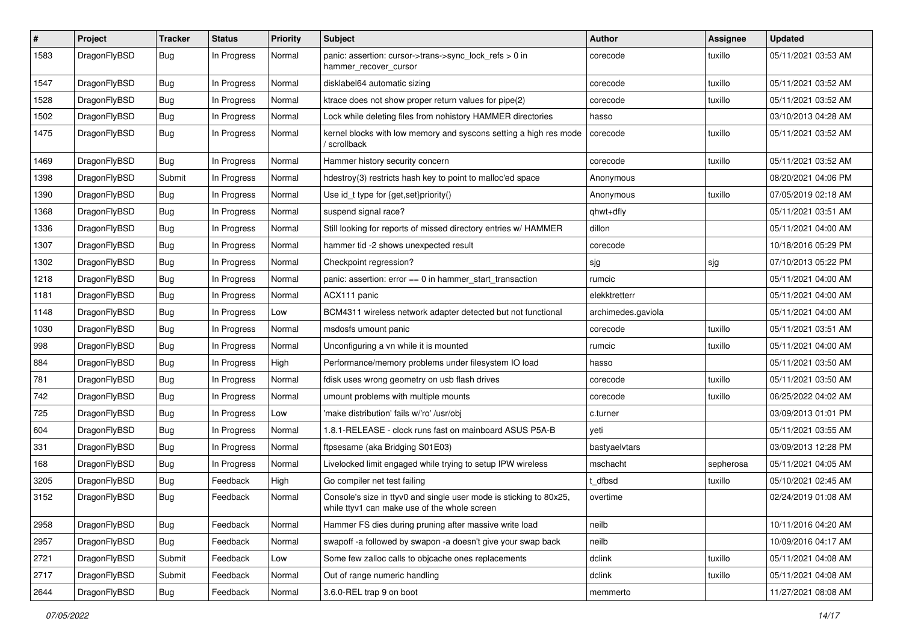| #    | Project      | <b>Tracker</b> | <b>Status</b> | <b>Priority</b> | Subject                                                                                                            | <b>Author</b>      | Assignee  | <b>Updated</b>      |
|------|--------------|----------------|---------------|-----------------|--------------------------------------------------------------------------------------------------------------------|--------------------|-----------|---------------------|
| 1583 | DragonFlyBSD | Bug            | In Progress   | Normal          | panic: assertion: cursor->trans->sync_lock_refs > 0 in<br>hammer_recover_cursor                                    | corecode           | tuxillo   | 05/11/2021 03:53 AM |
| 1547 | DragonFlyBSD | Bug            | In Progress   | Normal          | disklabel64 automatic sizing                                                                                       | corecode           | tuxillo   | 05/11/2021 03:52 AM |
| 1528 | DragonFlyBSD | Bug            | In Progress   | Normal          | ktrace does not show proper return values for pipe(2)                                                              | corecode           | tuxillo   | 05/11/2021 03:52 AM |
| 1502 | DragonFlyBSD | Bug            | In Progress   | Normal          | Lock while deleting files from nohistory HAMMER directories                                                        | hasso              |           | 03/10/2013 04:28 AM |
| 1475 | DragonFlyBSD | Bug            | In Progress   | Normal          | kernel blocks with low memory and syscons setting a high res mode<br>/ scrollback                                  | corecode           | tuxillo   | 05/11/2021 03:52 AM |
| 1469 | DragonFlyBSD | Bug            | In Progress   | Normal          | Hammer history security concern                                                                                    | corecode           | tuxillo   | 05/11/2021 03:52 AM |
| 1398 | DragonFlyBSD | Submit         | In Progress   | Normal          | hdestroy(3) restricts hash key to point to malloc'ed space                                                         | Anonymous          |           | 08/20/2021 04:06 PM |
| 1390 | DragonFlyBSD | Bug            | In Progress   | Normal          | Use id_t type for {get,set}priority()                                                                              | Anonymous          | tuxillo   | 07/05/2019 02:18 AM |
| 1368 | DragonFlyBSD | Bug            | In Progress   | Normal          | suspend signal race?                                                                                               | qhwt+dfly          |           | 05/11/2021 03:51 AM |
| 1336 | DragonFlyBSD | Bug            | In Progress   | Normal          | Still looking for reports of missed directory entries w/ HAMMER                                                    | dillon             |           | 05/11/2021 04:00 AM |
| 1307 | DragonFlyBSD | Bug            | In Progress   | Normal          | hammer tid -2 shows unexpected result                                                                              | corecode           |           | 10/18/2016 05:29 PM |
| 1302 | DragonFlyBSD | Bug            | In Progress   | Normal          | Checkpoint regression?                                                                                             | sjg                | sjg       | 07/10/2013 05:22 PM |
| 1218 | DragonFlyBSD | <b>Bug</b>     | In Progress   | Normal          | panic: assertion: error == 0 in hammer_start_transaction                                                           | rumcic             |           | 05/11/2021 04:00 AM |
| 1181 | DragonFlyBSD | <b>Bug</b>     | In Progress   | Normal          | ACX111 panic                                                                                                       | elekktretterr      |           | 05/11/2021 04:00 AM |
| 1148 | DragonFlyBSD | Bug            | In Progress   | Low             | BCM4311 wireless network adapter detected but not functional                                                       | archimedes.gaviola |           | 05/11/2021 04:00 AM |
| 1030 | DragonFlyBSD | Bug            | In Progress   | Normal          | msdosfs umount panic                                                                                               | corecode           | tuxillo   | 05/11/2021 03:51 AM |
| 998  | DragonFlyBSD | <b>Bug</b>     | In Progress   | Normal          | Unconfiguring a vn while it is mounted                                                                             | rumcic             | tuxillo   | 05/11/2021 04:00 AM |
| 884  | DragonFlyBSD | Bug            | In Progress   | High            | Performance/memory problems under filesystem IO load                                                               | hasso              |           | 05/11/2021 03:50 AM |
| 781  | DragonFlyBSD | Bug            | In Progress   | Normal          | fdisk uses wrong geometry on usb flash drives                                                                      | corecode           | tuxillo   | 05/11/2021 03:50 AM |
| 742  | DragonFlyBSD | <b>Bug</b>     | In Progress   | Normal          | umount problems with multiple mounts                                                                               | corecode           | tuxillo   | 06/25/2022 04:02 AM |
| 725  | DragonFlyBSD | Bug            | In Progress   | Low             | 'make distribution' fails w/'ro' /usr/obj                                                                          | c.turner           |           | 03/09/2013 01:01 PM |
| 604  | DragonFlyBSD | Bug            | In Progress   | Normal          | 1.8.1-RELEASE - clock runs fast on mainboard ASUS P5A-B                                                            | yeti               |           | 05/11/2021 03:55 AM |
| 331  | DragonFlyBSD | Bug            | In Progress   | Normal          | ftpsesame (aka Bridging S01E03)                                                                                    | bastyaelvtars      |           | 03/09/2013 12:28 PM |
| 168  | DragonFlyBSD | Bug            | In Progress   | Normal          | Livelocked limit engaged while trying to setup IPW wireless                                                        | mschacht           | sepherosa | 05/11/2021 04:05 AM |
| 3205 | DragonFlyBSD | Bug            | Feedback      | High            | Go compiler net test failing                                                                                       | t dfbsd            | tuxillo   | 05/10/2021 02:45 AM |
| 3152 | DragonFlyBSD | Bug            | Feedback      | Normal          | Console's size in ttyv0 and single user mode is sticking to 80x25,<br>while ttyv1 can make use of the whole screen | overtime           |           | 02/24/2019 01:08 AM |
| 2958 | DragonFlyBSD | <b>Bug</b>     | Feedback      | Normal          | Hammer FS dies during pruning after massive write load                                                             | neilb              |           | 10/11/2016 04:20 AM |
| 2957 | DragonFlyBSD | Bug            | Feedback      | Normal          | swapoff -a followed by swapon -a doesn't give your swap back                                                       | neilb              |           | 10/09/2016 04:17 AM |
| 2721 | DragonFlyBSD | Submit         | Feedback      | Low             | Some few zalloc calls to objcache ones replacements                                                                | dclink             | tuxillo   | 05/11/2021 04:08 AM |
| 2717 | DragonFlyBSD | Submit         | Feedback      | Normal          | Out of range numeric handling                                                                                      | dclink             | tuxillo   | 05/11/2021 04:08 AM |
| 2644 | DragonFlyBSD | <b>Bug</b>     | Feedback      | Normal          | 3.6.0-REL trap 9 on boot                                                                                           | memmerto           |           | 11/27/2021 08:08 AM |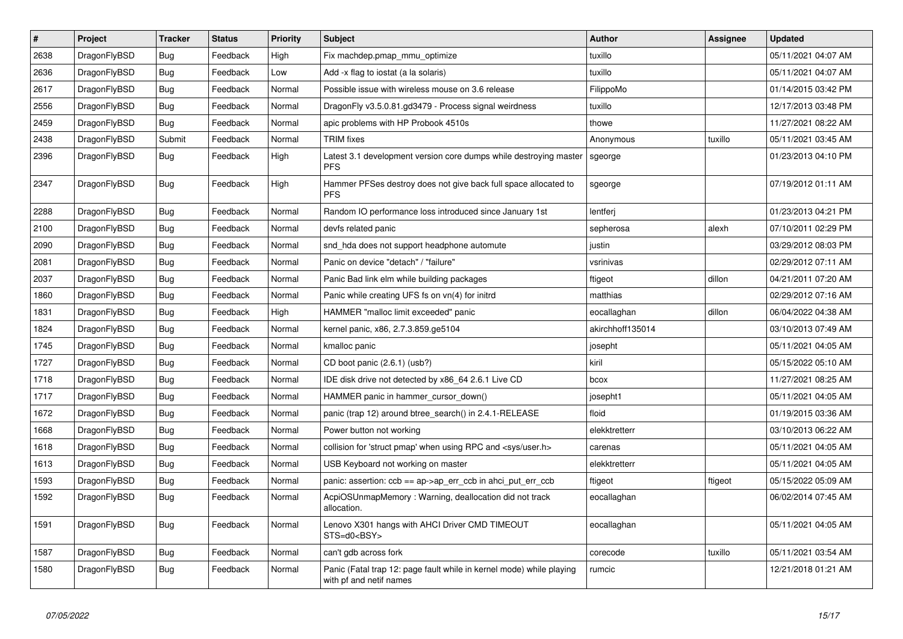| $\vert$ # | <b>Project</b> | <b>Tracker</b> | <b>Status</b> | <b>Priority</b> | <b>Subject</b>                                                                                  | <b>Author</b>    | <b>Assignee</b> | <b>Updated</b>      |
|-----------|----------------|----------------|---------------|-----------------|-------------------------------------------------------------------------------------------------|------------------|-----------------|---------------------|
| 2638      | DragonFlyBSD   | Bug            | Feedback      | High            | Fix machdep.pmap mmu optimize                                                                   | tuxillo          |                 | 05/11/2021 04:07 AM |
| 2636      | DragonFlyBSD   | <b>Bug</b>     | Feedback      | Low             | Add -x flag to iostat (a la solaris)                                                            | tuxillo          |                 | 05/11/2021 04:07 AM |
| 2617      | DragonFlyBSD   | <b>Bug</b>     | Feedback      | Normal          | Possible issue with wireless mouse on 3.6 release                                               | FilippoMo        |                 | 01/14/2015 03:42 PM |
| 2556      | DragonFlyBSD   | <b>Bug</b>     | Feedback      | Normal          | DragonFly v3.5.0.81.gd3479 - Process signal weirdness                                           | tuxillo          |                 | 12/17/2013 03:48 PM |
| 2459      | DragonFlyBSD   | <b>Bug</b>     | Feedback      | Normal          | apic problems with HP Probook 4510s                                                             | thowe            |                 | 11/27/2021 08:22 AM |
| 2438      | DragonFlyBSD   | Submit         | Feedback      | Normal          | <b>TRIM</b> fixes                                                                               | Anonymous        | tuxillo         | 05/11/2021 03:45 AM |
| 2396      | DragonFlyBSD   | Bug            | Feedback      | High            | Latest 3.1 development version core dumps while destroying master<br><b>PFS</b>                 | sgeorge          |                 | 01/23/2013 04:10 PM |
| 2347      | DragonFlyBSD   | Bug            | Feedback      | High            | Hammer PFSes destroy does not give back full space allocated to<br><b>PFS</b>                   | sgeorge          |                 | 07/19/2012 01:11 AM |
| 2288      | DragonFlyBSD   | <b>Bug</b>     | Feedback      | Normal          | Random IO performance loss introduced since January 1st                                         | lentferi         |                 | 01/23/2013 04:21 PM |
| 2100      | DragonFlyBSD   | <b>Bug</b>     | Feedback      | Normal          | devfs related panic                                                                             | sepherosa        | alexh           | 07/10/2011 02:29 PM |
| 2090      | DragonFlyBSD   | Bug            | Feedback      | Normal          | snd_hda does not support headphone automute                                                     | justin           |                 | 03/29/2012 08:03 PM |
| 2081      | DragonFlyBSD   | Bug            | Feedback      | Normal          | Panic on device "detach" / "failure"                                                            | vsrinivas        |                 | 02/29/2012 07:11 AM |
| 2037      | DragonFlyBSD   | Bug            | Feedback      | Normal          | Panic Bad link elm while building packages                                                      | ftigeot          | dillon          | 04/21/2011 07:20 AM |
| 1860      | DragonFlyBSD   | Bug            | Feedback      | Normal          | Panic while creating UFS fs on vn(4) for initrd                                                 | matthias         |                 | 02/29/2012 07:16 AM |
| 1831      | DragonFlyBSD   | Bug            | Feedback      | High            | HAMMER "malloc limit exceeded" panic                                                            | eocallaghan      | dillon          | 06/04/2022 04:38 AM |
| 1824      | DragonFlyBSD   | <b>Bug</b>     | Feedback      | Normal          | kernel panic, x86, 2.7.3.859.ge5104                                                             | akirchhoff135014 |                 | 03/10/2013 07:49 AM |
| 1745      | DragonFlyBSD   | <b>Bug</b>     | Feedback      | Normal          | kmalloc panic                                                                                   | josepht          |                 | 05/11/2021 04:05 AM |
| 1727      | DragonFlyBSD   | <b>Bug</b>     | Feedback      | Normal          | CD boot panic (2.6.1) (usb?)                                                                    | kiril            |                 | 05/15/2022 05:10 AM |
| 1718      | DragonFlyBSD   | Bug            | Feedback      | Normal          | IDE disk drive not detected by x86_64 2.6.1 Live CD                                             | bcox             |                 | 11/27/2021 08:25 AM |
| 1717      | DragonFlyBSD   | Bug            | Feedback      | Normal          | HAMMER panic in hammer cursor down()                                                            | josepht1         |                 | 05/11/2021 04:05 AM |
| 1672      | DragonFlyBSD   | Bug            | Feedback      | Normal          | panic (trap 12) around btree search() in 2.4.1-RELEASE                                          | floid            |                 | 01/19/2015 03:36 AM |
| 1668      | DragonFlyBSD   | <b>Bug</b>     | Feedback      | Normal          | Power button not working                                                                        | elekktretterr    |                 | 03/10/2013 06:22 AM |
| 1618      | DragonFlyBSD   | Bug            | Feedback      | Normal          | collision for 'struct pmap' when using RPC and <sys user.h=""></sys>                            | carenas          |                 | 05/11/2021 04:05 AM |
| 1613      | DragonFlyBSD   | <b>Bug</b>     | Feedback      | Normal          | USB Keyboard not working on master                                                              | elekktretterr    |                 | 05/11/2021 04:05 AM |
| 1593      | DragonFlyBSD   | Bug            | Feedback      | Normal          | panic: assertion: $ccb == ap \rightarrow ap\_err\_ccb$ in ahci put err $ccb$                    | ftigeot          | ftigeot         | 05/15/2022 05:09 AM |
| 1592      | DragonFlyBSD   | Bug            | Feedback      | Normal          | AcpiOSUnmapMemory: Warning, deallocation did not track<br>allocation.                           | eocallaghan      |                 | 06/02/2014 07:45 AM |
| 1591      | DragonFlyBSD   | Bug            | Feedback      | Normal          | Lenovo X301 hangs with AHCI Driver CMD TIMEOUT<br>STS=d0 <bsy></bsy>                            | eocallaghan      |                 | 05/11/2021 04:05 AM |
| 1587      | DragonFlyBSD   | <b>Bug</b>     | Feedback      | Normal          | can't gdb across fork                                                                           | corecode         | tuxillo         | 05/11/2021 03:54 AM |
| 1580      | DragonFlyBSD   | <b>Bug</b>     | Feedback      | Normal          | Panic (Fatal trap 12: page fault while in kernel mode) while playing<br>with pf and netif names | rumcic           |                 | 12/21/2018 01:21 AM |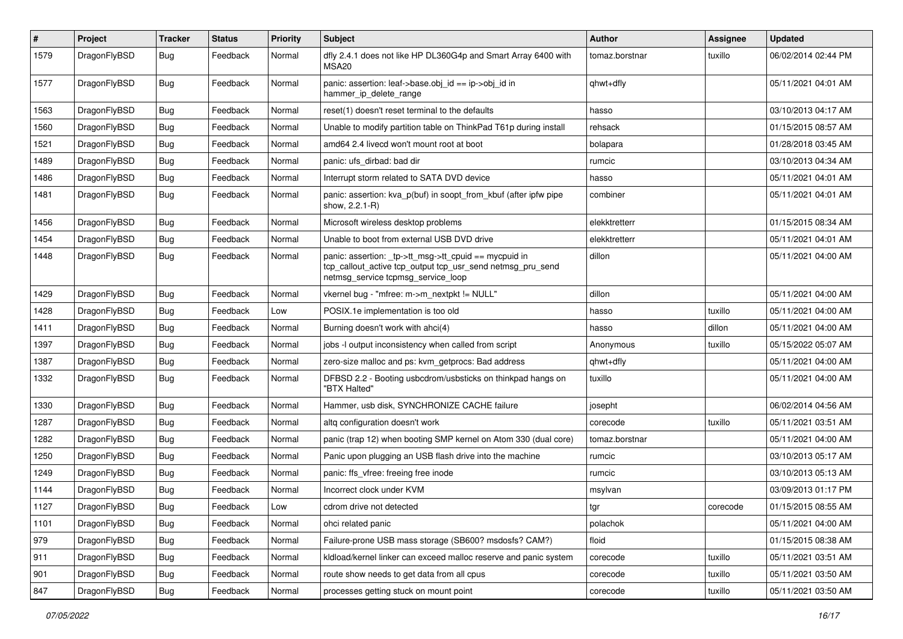| $\vert$ # | Project      | <b>Tracker</b> | <b>Status</b> | <b>Priority</b> | Subject                                                                                                                                                   | <b>Author</b>  | <b>Assignee</b> | <b>Updated</b>      |
|-----------|--------------|----------------|---------------|-----------------|-----------------------------------------------------------------------------------------------------------------------------------------------------------|----------------|-----------------|---------------------|
| 1579      | DragonFlyBSD | <b>Bug</b>     | Feedback      | Normal          | dfly 2.4.1 does not like HP DL360G4p and Smart Array 6400 with<br>MSA <sub>20</sub>                                                                       | tomaz.borstnar | tuxillo         | 06/02/2014 02:44 PM |
| 1577      | DragonFlyBSD | Bug            | Feedback      | Normal          | panic: assertion: leaf->base.obj_id == ip->obj_id in<br>hammer_ip_delete_range                                                                            | qhwt+dfly      |                 | 05/11/2021 04:01 AM |
| 1563      | DragonFlyBSD | <b>Bug</b>     | Feedback      | Normal          | reset(1) doesn't reset terminal to the defaults                                                                                                           | hasso          |                 | 03/10/2013 04:17 AM |
| 1560      | DragonFlyBSD | <b>Bug</b>     | Feedback      | Normal          | Unable to modify partition table on ThinkPad T61p during install                                                                                          | rehsack        |                 | 01/15/2015 08:57 AM |
| 1521      | DragonFlyBSD | Bug            | Feedback      | Normal          | amd64 2.4 livecd won't mount root at boot                                                                                                                 | bolapara       |                 | 01/28/2018 03:45 AM |
| 1489      | DragonFlyBSD | <b>Bug</b>     | Feedback      | Normal          | panic: ufs dirbad: bad dir                                                                                                                                | rumcic         |                 | 03/10/2013 04:34 AM |
| 1486      | DragonFlyBSD | <b>Bug</b>     | Feedback      | Normal          | Interrupt storm related to SATA DVD device                                                                                                                | hasso          |                 | 05/11/2021 04:01 AM |
| 1481      | DragonFlyBSD | Bug            | Feedback      | Normal          | panic: assertion: kva_p(buf) in soopt_from_kbuf (after ipfw pipe<br>show, 2.2.1-R)                                                                        | combiner       |                 | 05/11/2021 04:01 AM |
| 1456      | DragonFlyBSD | <b>Bug</b>     | Feedback      | Normal          | Microsoft wireless desktop problems                                                                                                                       | elekktretterr  |                 | 01/15/2015 08:34 AM |
| 1454      | DragonFlyBSD | <b>Bug</b>     | Feedback      | Normal          | Unable to boot from external USB DVD drive                                                                                                                | elekktretterr  |                 | 05/11/2021 04:01 AM |
| 1448      | DragonFlyBSD | <b>Bug</b>     | Feedback      | Normal          | panic: assertion: _tp->tt_msg->tt_cpuid == mycpuid in<br>tcp_callout_active tcp_output tcp_usr_send netmsg_pru_send<br>netmsg_service tcpmsg_service_loop | dillon         |                 | 05/11/2021 04:00 AM |
| 1429      | DragonFlyBSD | <b>Bug</b>     | Feedback      | Normal          | vkernel bug - "mfree: m->m nextpkt != NULL"                                                                                                               | dillon         |                 | 05/11/2021 04:00 AM |
| 1428      | DragonFlyBSD | Bug            | Feedback      | Low             | POSIX.1e implementation is too old                                                                                                                        | hasso          | tuxillo         | 05/11/2021 04:00 AM |
| 1411      | DragonFlyBSD | <b>Bug</b>     | Feedback      | Normal          | Burning doesn't work with ahci(4)                                                                                                                         | hasso          | dillon          | 05/11/2021 04:00 AM |
| 1397      | DragonFlyBSD | Bug            | Feedback      | Normal          | jobs -I output inconsistency when called from script                                                                                                      | Anonymous      | tuxillo         | 05/15/2022 05:07 AM |
| 1387      | DragonFlyBSD | <b>Bug</b>     | Feedback      | Normal          | zero-size malloc and ps: kvm_getprocs: Bad address                                                                                                        | qhwt+dfly      |                 | 05/11/2021 04:00 AM |
| 1332      | DragonFlyBSD | Bug            | Feedback      | Normal          | DFBSD 2.2 - Booting usbcdrom/usbsticks on thinkpad hangs on<br>"BTX Halted"                                                                               | tuxillo        |                 | 05/11/2021 04:00 AM |
| 1330      | DragonFlyBSD | <b>Bug</b>     | Feedback      | Normal          | Hammer, usb disk, SYNCHRONIZE CACHE failure                                                                                                               | josepht        |                 | 06/02/2014 04:56 AM |
| 1287      | DragonFlyBSD | <b>Bug</b>     | Feedback      | Normal          | altg configuration doesn't work                                                                                                                           | corecode       | tuxillo         | 05/11/2021 03:51 AM |
| 1282      | DragonFlyBSD | <b>Bug</b>     | Feedback      | Normal          | panic (trap 12) when booting SMP kernel on Atom 330 (dual core)                                                                                           | tomaz.borstnar |                 | 05/11/2021 04:00 AM |
| 1250      | DragonFlyBSD | <b>Bug</b>     | Feedback      | Normal          | Panic upon plugging an USB flash drive into the machine                                                                                                   | rumcic         |                 | 03/10/2013 05:17 AM |
| 1249      | DragonFlyBSD | Bug            | Feedback      | Normal          | panic: ffs vfree: freeing free inode                                                                                                                      | rumcic         |                 | 03/10/2013 05:13 AM |
| 1144      | DragonFlyBSD | <b>Bug</b>     | Feedback      | Normal          | Incorrect clock under KVM                                                                                                                                 | msylvan        |                 | 03/09/2013 01:17 PM |
| 1127      | DragonFlyBSD | Bug            | Feedback      | Low             | cdrom drive not detected                                                                                                                                  | tgr            | corecode        | 01/15/2015 08:55 AM |
| 1101      | DragonFlyBSD | <b>Bug</b>     | Feedback      | Normal          | ohci related panic                                                                                                                                        | polachok       |                 | 05/11/2021 04:00 AM |
| 979       | DragonFlyBSD | Bug            | Feedback      | Normal          | Failure-prone USB mass storage (SB600? msdosfs? CAM?)                                                                                                     | floid          |                 | 01/15/2015 08:38 AM |
| 911       | DragonFlyBSD | <b>Bug</b>     | Feedback      | Normal          | kldload/kernel linker can exceed malloc reserve and panic system                                                                                          | corecode       | tuxillo         | 05/11/2021 03:51 AM |
| 901       | DragonFlyBSD | Bug            | Feedback      | Normal          | route show needs to get data from all cpus                                                                                                                | corecode       | tuxillo         | 05/11/2021 03:50 AM |
| 847       | DragonFlyBSD | <b>Bug</b>     | Feedback      | Normal          | processes getting stuck on mount point                                                                                                                    | corecode       | tuxillo         | 05/11/2021 03:50 AM |